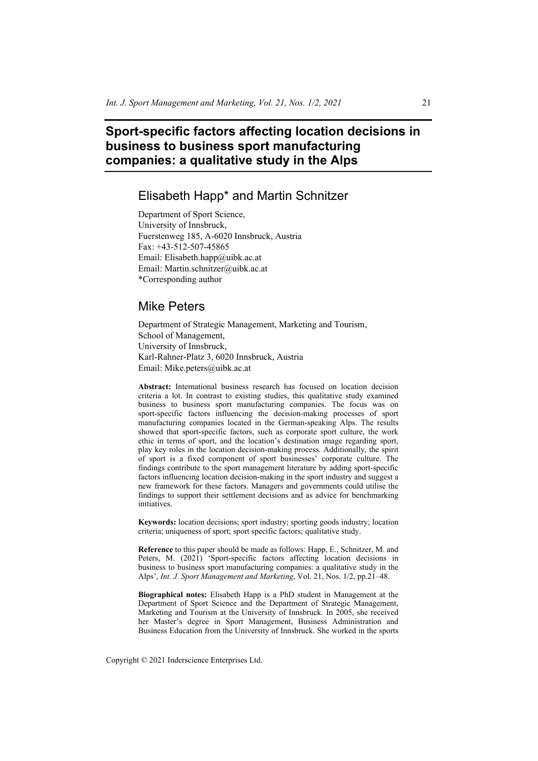# **Sport-specific factors affecting location decisions in business to business sport manufacturing companies: a qualitative study in the Alps**

# Elisabeth Happ\* and Martin Schnitzer

Department of Sport Science, University of Innsbruck, Fuerstenweg 185, A-6020 Innsbruck, Austria Fax: +43-512-507-45865 Email: Elisabeth.happ@uibk.ac.at Email: Martin.schnitzer@uibk.ac.at \*Corresponding author

# Mike Peters

Department of Strategic Management, Marketing and Tourism, School of Management, University of Innsbruck, Karl-Rahner-Platz 3, 6020 Innsbruck, Austria Email: Mike.peters@uibk.ac.at

**Abstract:** International business research has focused on location decision criteria a lot. In contrast to existing studies, this qualitative study examined business to business sport manufacturing companies. The focus was on sport-specific factors influencing the decision-making processes of sport manufacturing companies located in the German-speaking Alps. The results showed that sport-specific factors, such as corporate sport culture, the work ethic in terms of sport, and the location's destination image regarding sport, play key roles in the location decision-making process. Additionally, the spirit of sport is a fixed component of sport businesses' corporate culture. The findings contribute to the sport management literature by adding sport-specific factors influencing location decision-making in the sport industry and suggest a new framework for these factors. Managers and governments could utilise the findings to support their settlement decisions and as advice for benchmarking initiatives.

**Keywords:** location decisions; sport industry; sporting goods industry; location criteria; uniqueness of sport; sport specific factors; qualitative study.

**Reference** to this paper should be made as follows: Happ, E., Schnitzer, M. and Peters, M. (2021) 'Sport-specific factors affecting location decisions in business to business sport manufacturing companies: a qualitative study in the Alps', *Int. J. Sport Management and Marketing*, Vol. 21, Nos. 1/2, pp.21–48.

**Biographical notes:** Elisabeth Happ is a PhD student in Management at the Department of Sport Science and the Department of Strategic Management, Marketing and Tourism at the University of Innsbruck. In 2005, she received her Master's degree in Sport Management, Business Administration and Business Education from the University of Innsbruck. She worked in the sports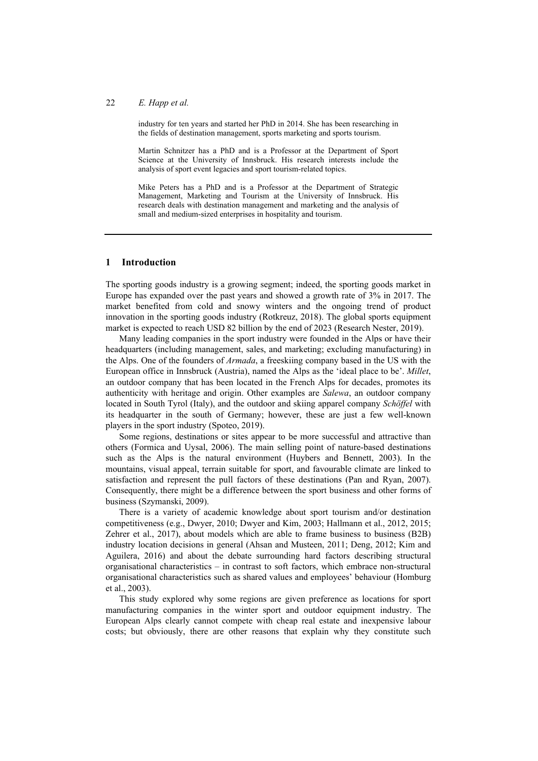#### 22 *E. Happ et al.*

industry for ten years and started her PhD in 2014. She has been researching in the fields of destination management, sports marketing and sports tourism.

Martin Schnitzer has a PhD and is a Professor at the Department of Sport Science at the University of Innsbruck. His research interests include the analysis of sport event legacies and sport tourism-related topics.

Mike Peters has a PhD and is a Professor at the Department of Strategic Management, Marketing and Tourism at the University of Innsbruck. His research deals with destination management and marketing and the analysis of small and medium-sized enterprises in hospitality and tourism.

### **1 Introduction**

The sporting goods industry is a growing segment; indeed, the sporting goods market in Europe has expanded over the past years and showed a growth rate of 3% in 2017. The market benefited from cold and snowy winters and the ongoing trend of product innovation in the sporting goods industry (Rotkreuz, 2018). The global sports equipment market is expected to reach USD 82 billion by the end of 2023 (Research Nester, 2019).

Many leading companies in the sport industry were founded in the Alps or have their headquarters (including management, sales, and marketing; excluding manufacturing) in the Alps. One of the founders of *Armada*, a freeskiing company based in the US with the European office in Innsbruck (Austria), named the Alps as the 'ideal place to be'. *Millet*, an outdoor company that has been located in the French Alps for decades, promotes its authenticity with heritage and origin. Other examples are *Salewa*, an outdoor company located in South Tyrol (Italy), and the outdoor and skiing apparel company *Schöffel* with its headquarter in the south of Germany; however, these are just a few well-known players in the sport industry (Spoteo, 2019).

Some regions, destinations or sites appear to be more successful and attractive than others (Formica and Uysal, 2006). The main selling point of nature-based destinations such as the Alps is the natural environment (Huybers and Bennett, 2003). In the mountains, visual appeal, terrain suitable for sport, and favourable climate are linked to satisfaction and represent the pull factors of these destinations (Pan and Ryan, 2007). Consequently, there might be a difference between the sport business and other forms of business (Szymanski, 2009).

There is a variety of academic knowledge about sport tourism and/or destination competitiveness (e.g., Dwyer, 2010; Dwyer and Kim, 2003; Hallmann et al., 2012, 2015; Zehrer et al., 2017), about models which are able to frame business to business (B2B) industry location decisions in general (Ahsan and Musteen, 2011; Deng, 2012; Kim and Aguilera, 2016) and about the debate surrounding hard factors describing structural organisational characteristics – in contrast to soft factors, which embrace non-structural organisational characteristics such as shared values and employees' behaviour (Homburg et al., 2003).

This study explored why some regions are given preference as locations for sport manufacturing companies in the winter sport and outdoor equipment industry. The European Alps clearly cannot compete with cheap real estate and inexpensive labour costs; but obviously, there are other reasons that explain why they constitute such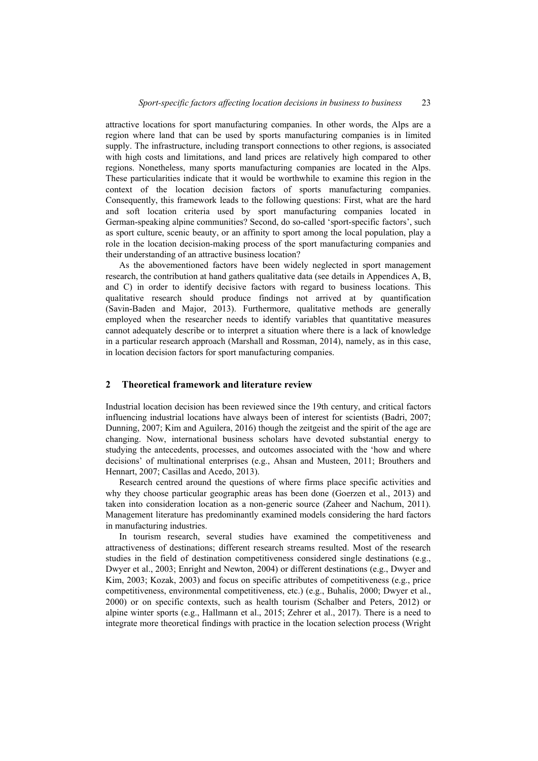attractive locations for sport manufacturing companies. In other words, the Alps are a region where land that can be used by sports manufacturing companies is in limited supply. The infrastructure, including transport connections to other regions, is associated with high costs and limitations, and land prices are relatively high compared to other regions. Nonetheless, many sports manufacturing companies are located in the Alps. These particularities indicate that it would be worthwhile to examine this region in the context of the location decision factors of sports manufacturing companies. Consequently, this framework leads to the following questions: First, what are the hard and soft location criteria used by sport manufacturing companies located in German-speaking alpine communities? Second, do so-called 'sport-specific factors', such as sport culture, scenic beauty, or an affinity to sport among the local population, play a role in the location decision-making process of the sport manufacturing companies and their understanding of an attractive business location?

As the abovementioned factors have been widely neglected in sport management research, the contribution at hand gathers qualitative data (see details in Appendices A, B, and C) in order to identify decisive factors with regard to business locations. This qualitative research should produce findings not arrived at by quantification (Savin-Baden and Major, 2013). Furthermore, qualitative methods are generally employed when the researcher needs to identify variables that quantitative measures cannot adequately describe or to interpret a situation where there is a lack of knowledge in a particular research approach (Marshall and Rossman, 2014), namely, as in this case, in location decision factors for sport manufacturing companies.

#### **2 Theoretical framework and literature review**

Industrial location decision has been reviewed since the 19th century, and critical factors influencing industrial locations have always been of interest for scientists (Badri, 2007; Dunning, 2007; Kim and Aguilera, 2016) though the zeitgeist and the spirit of the age are changing. Now, international business scholars have devoted substantial energy to studying the antecedents, processes, and outcomes associated with the 'how and where decisions' of multinational enterprises (e.g., Ahsan and Musteen, 2011; Brouthers and Hennart, 2007; Casillas and Acedo, 2013).

Research centred around the questions of where firms place specific activities and why they choose particular geographic areas has been done (Goerzen et al., 2013) and taken into consideration location as a non-generic source (Zaheer and Nachum, 2011). Management literature has predominantly examined models considering the hard factors in manufacturing industries.

In tourism research, several studies have examined the competitiveness and attractiveness of destinations; different research streams resulted. Most of the research studies in the field of destination competitiveness considered single destinations (e.g., Dwyer et al., 2003; Enright and Newton, 2004) or different destinations (e.g., Dwyer and Kim, 2003; Kozak, 2003) and focus on specific attributes of competitiveness (e.g., price competitiveness, environmental competitiveness, etc.) (e.g., Buhalis, 2000; Dwyer et al., 2000) or on specific contexts, such as health tourism (Schalber and Peters, 2012) or alpine winter sports (e.g., Hallmann et al., 2015; Zehrer et al., 2017). There is a need to integrate more theoretical findings with practice in the location selection process (Wright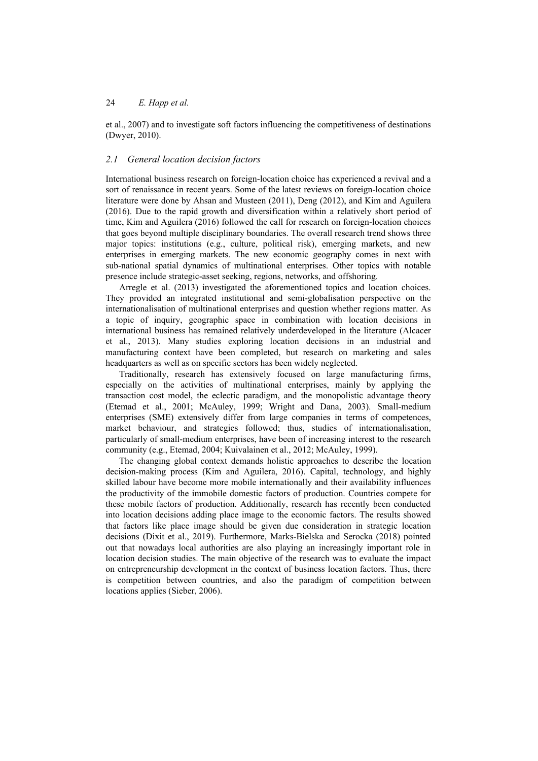et al., 2007) and to investigate soft factors influencing the competitiveness of destinations (Dwyer, 2010).

## *2.1 General location decision factors*

International business research on foreign-location choice has experienced a revival and a sort of renaissance in recent years. Some of the latest reviews on foreign-location choice literature were done by Ahsan and Musteen (2011), Deng (2012), and Kim and Aguilera (2016). Due to the rapid growth and diversification within a relatively short period of time, Kim and Aguilera (2016) followed the call for research on foreign-location choices that goes beyond multiple disciplinary boundaries. The overall research trend shows three major topics: institutions (e.g., culture, political risk), emerging markets, and new enterprises in emerging markets. The new economic geography comes in next with sub-national spatial dynamics of multinational enterprises. Other topics with notable presence include strategic-asset seeking, regions, networks, and offshoring.

Arregle et al. (2013) investigated the aforementioned topics and location choices. They provided an integrated institutional and semi-globalisation perspective on the internationalisation of multinational enterprises and question whether regions matter. As a topic of inquiry, geographic space in combination with location decisions in international business has remained relatively underdeveloped in the literature (Alcacer et al., 2013). Many studies exploring location decisions in an industrial and manufacturing context have been completed, but research on marketing and sales headquarters as well as on specific sectors has been widely neglected.

Traditionally, research has extensively focused on large manufacturing firms, especially on the activities of multinational enterprises, mainly by applying the transaction cost model, the eclectic paradigm, and the monopolistic advantage theory (Etemad et al., 2001; McAuley, 1999; Wright and Dana, 2003). Small-medium enterprises (SME) extensively differ from large companies in terms of competences, market behaviour, and strategies followed; thus, studies of internationalisation, particularly of small-medium enterprises, have been of increasing interest to the research community (e.g., Etemad, 2004; Kuivalainen et al., 2012; McAuley, 1999).

The changing global context demands holistic approaches to describe the location decision-making process (Kim and Aguilera, 2016). Capital, technology, and highly skilled labour have become more mobile internationally and their availability influences the productivity of the immobile domestic factors of production. Countries compete for these mobile factors of production. Additionally, research has recently been conducted into location decisions adding place image to the economic factors. The results showed that factors like place image should be given due consideration in strategic location decisions (Dixit et al., 2019). Furthermore, Marks-Bielska and Serocka (2018) pointed out that nowadays local authorities are also playing an increasingly important role in location decision studies. The main objective of the research was to evaluate the impact on entrepreneurship development in the context of business location factors. Thus, there is competition between countries, and also the paradigm of competition between locations applies (Sieber, 2006).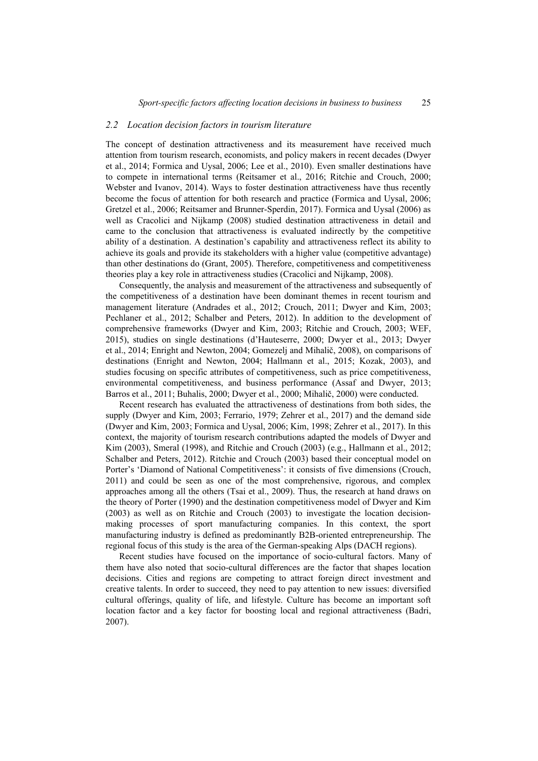#### *2.2 Location decision factors in tourism literature*

The concept of destination attractiveness and its measurement have received much attention from tourism research, economists, and policy makers in recent decades (Dwyer et al., 2014; Formica and Uysal, 2006; Lee et al., 2010). Even smaller destinations have to compete in international terms (Reitsamer et al., 2016; Ritchie and Crouch, 2000; Webster and Ivanov, 2014). Ways to foster destination attractiveness have thus recently become the focus of attention for both research and practice (Formica and Uysal, 2006; Gretzel et al., 2006; Reitsamer and Brunner-Sperdin, 2017). Formica and Uysal (2006) as well as Cracolici and Nijkamp (2008) studied destination attractiveness in detail and came to the conclusion that attractiveness is evaluated indirectly by the competitive ability of a destination. A destination's capability and attractiveness reflect its ability to achieve its goals and provide its stakeholders with a higher value (competitive advantage) than other destinations do (Grant, 2005). Therefore, competitiveness and competitiveness theories play a key role in attractiveness studies (Cracolici and Nijkamp, 2008).

Consequently, the analysis and measurement of the attractiveness and subsequently of the competitiveness of a destination have been dominant themes in recent tourism and management literature (Andrades et al., 2012; Crouch, 2011; Dwyer and Kim, 2003; Pechlaner et al., 2012; Schalber and Peters, 2012). In addition to the development of comprehensive frameworks (Dwyer and Kim, 2003; Ritchie and Crouch, 2003; WEF, 2015), studies on single destinations (d'Hauteserre, 2000; Dwyer et al., 2013; Dwyer et al., 2014; Enright and Newton, 2004; Gomezelj and Mihalič, 2008), on comparisons of destinations (Enright and Newton, 2004; Hallmann et al., 2015; Kozak, 2003), and studies focusing on specific attributes of competitiveness, such as price competitiveness, environmental competitiveness, and business performance (Assaf and Dwyer, 2013; Barros et al., 2011; Buhalis, 2000; Dwyer et al., 2000; Mihalič, 2000) were conducted.

Recent research has evaluated the attractiveness of destinations from both sides, the supply (Dwyer and Kim, 2003; Ferrario, 1979; Zehrer et al., 2017) and the demand side (Dwyer and Kim, 2003; Formica and Uysal, 2006; Kim, 1998; Zehrer et al., 2017). In this context, the majority of tourism research contributions adapted the models of Dwyer and Kim (2003), Smeral (1998), and Ritchie and Crouch (2003) (e.g., Hallmann et al., 2012; Schalber and Peters, 2012). Ritchie and Crouch (2003) based their conceptual model on Porter's 'Diamond of National Competitiveness': it consists of five dimensions (Crouch, 2011) and could be seen as one of the most comprehensive, rigorous, and complex approaches among all the others (Tsai et al., 2009). Thus, the research at hand draws on the theory of Porter (1990) and the destination competitiveness model of Dwyer and Kim (2003) as well as on Ritchie and Crouch (2003) to investigate the location decisionmaking processes of sport manufacturing companies. In this context, the sport manufacturing industry is defined as predominantly B2B-oriented entrepreneurship. The regional focus of this study is the area of the German-speaking Alps (DACH regions).

Recent studies have focused on the importance of socio-cultural factors. Many of them have also noted that socio-cultural differences are the factor that shapes location decisions. Cities and regions are competing to attract foreign direct investment and creative talents. In order to succeed, they need to pay attention to new issues: diversified cultural offerings, quality of life, and lifestyle. Culture has become an important soft location factor and a key factor for boosting local and regional attractiveness (Badri, 2007).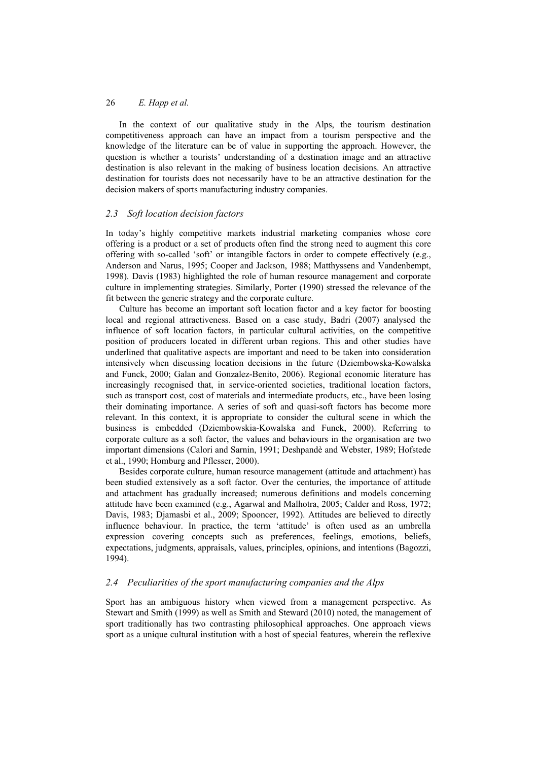In the context of our qualitative study in the Alps, the tourism destination competitiveness approach can have an impact from a tourism perspective and the knowledge of the literature can be of value in supporting the approach. However, the question is whether a tourists' understanding of a destination image and an attractive destination is also relevant in the making of business location decisions. An attractive destination for tourists does not necessarily have to be an attractive destination for the decision makers of sports manufacturing industry companies.

### *2.3 Soft location decision factors*

In today's highly competitive markets industrial marketing companies whose core offering is a product or a set of products often find the strong need to augment this core offering with so-called 'soft' or intangible factors in order to compete effectively (e.g., Anderson and Narus, 1995; Cooper and Jackson, 1988; Matthyssens and Vandenbempt, 1998). Davis (1983) highlighted the role of human resource management and corporate culture in implementing strategies. Similarly, Porter (1990) stressed the relevance of the fit between the generic strategy and the corporate culture.

Culture has become an important soft location factor and a key factor for boosting local and regional attractiveness. Based on a case study, Badri (2007) analysed the influence of soft location factors, in particular cultural activities, on the competitive position of producers located in different urban regions. This and other studies have underlined that qualitative aspects are important and need to be taken into consideration intensively when discussing location decisions in the future (Dziembowska-Kowalska and Funck, 2000; Galan and Gonzalez-Benito, 2006). Regional economic literature has increasingly recognised that, in service-oriented societies, traditional location factors, such as transport cost, cost of materials and intermediate products, etc., have been losing their dominating importance. A series of soft and quasi-soft factors has become more relevant. In this context, it is appropriate to consider the cultural scene in which the business is embedded (Dziembowskia-Kowalska and Funck, 2000). Referring to corporate culture as a soft factor, the values and behaviours in the organisation are two important dimensions (Calori and Sarnin, 1991; Deshpandè and Webster, 1989; Hofstede et al., 1990; Homburg and Pflesser, 2000).

Besides corporate culture, human resource management (attitude and attachment) has been studied extensively as a soft factor. Over the centuries, the importance of attitude and attachment has gradually increased; numerous definitions and models concerning attitude have been examined (e.g., Agarwal and Malhotra, 2005; Calder and Ross, 1972; Davis, 1983; Djamasbi et al., 2009; Spooncer, 1992). Attitudes are believed to directly influence behaviour. In practice, the term 'attitude' is often used as an umbrella expression covering concepts such as preferences, feelings, emotions, beliefs, expectations, judgments, appraisals, values, principles, opinions, and intentions (Bagozzi, 1994).

### *2.4 Peculiarities of the sport manufacturing companies and the Alps*

Sport has an ambiguous history when viewed from a management perspective. As Stewart and Smith (1999) as well as Smith and Steward (2010) noted, the management of sport traditionally has two contrasting philosophical approaches. One approach views sport as a unique cultural institution with a host of special features, wherein the reflexive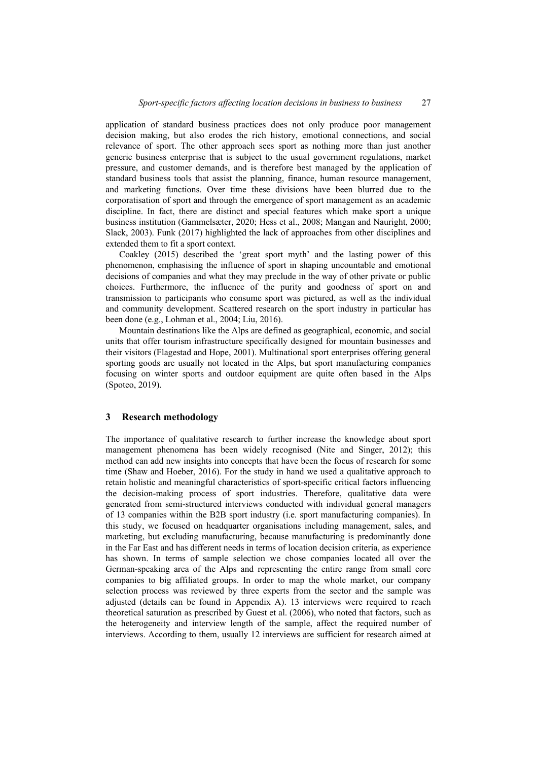application of standard business practices does not only produce poor management decision making, but also erodes the rich history, emotional connections, and social relevance of sport. The other approach sees sport as nothing more than just another generic business enterprise that is subject to the usual government regulations, market pressure, and customer demands, and is therefore best managed by the application of standard business tools that assist the planning, finance, human resource management, and marketing functions. Over time these divisions have been blurred due to the corporatisation of sport and through the emergence of sport management as an academic discipline. In fact, there are distinct and special features which make sport a unique business institution (Gammelsæter, 2020; Hess et al., 2008; Mangan and Nauright, 2000; Slack, 2003). Funk (2017) highlighted the lack of approaches from other disciplines and extended them to fit a sport context.

Coakley (2015) described the 'great sport myth' and the lasting power of this phenomenon, emphasising the influence of sport in shaping uncountable and emotional decisions of companies and what they may preclude in the way of other private or public choices. Furthermore, the influence of the purity and goodness of sport on and transmission to participants who consume sport was pictured, as well as the individual and community development. Scattered research on the sport industry in particular has been done (e.g., Lohman et al., 2004; Liu, 2016).

Mountain destinations like the Alps are defined as geographical, economic, and social units that offer tourism infrastructure specifically designed for mountain businesses and their visitors (Flagestad and Hope, 2001). Multinational sport enterprises offering general sporting goods are usually not located in the Alps, but sport manufacturing companies focusing on winter sports and outdoor equipment are quite often based in the Alps (Spoteo, 2019).

#### **3 Research methodology**

The importance of qualitative research to further increase the knowledge about sport management phenomena has been widely recognised (Nite and Singer, 2012); this method can add new insights into concepts that have been the focus of research for some time (Shaw and Hoeber, 2016). For the study in hand we used a qualitative approach to retain holistic and meaningful characteristics of sport-specific critical factors influencing the decision-making process of sport industries. Therefore, qualitative data were generated from semi-structured interviews conducted with individual general managers of 13 companies within the B2B sport industry (i.e. sport manufacturing companies). In this study, we focused on headquarter organisations including management, sales, and marketing, but excluding manufacturing, because manufacturing is predominantly done in the Far East and has different needs in terms of location decision criteria, as experience has shown. In terms of sample selection we chose companies located all over the German-speaking area of the Alps and representing the entire range from small core companies to big affiliated groups. In order to map the whole market, our company selection process was reviewed by three experts from the sector and the sample was adjusted (details can be found in Appendix A). 13 interviews were required to reach theoretical saturation as prescribed by Guest et al. (2006), who noted that factors, such as the heterogeneity and interview length of the sample, affect the required number of interviews. According to them, usually 12 interviews are sufficient for research aimed at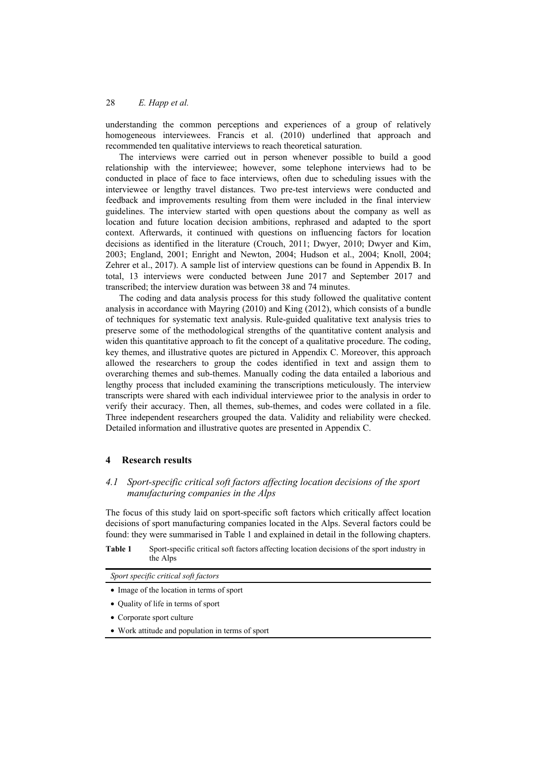understanding the common perceptions and experiences of a group of relatively homogeneous interviewees. Francis et al. (2010) underlined that approach and recommended ten qualitative interviews to reach theoretical saturation.

The interviews were carried out in person whenever possible to build a good relationship with the interviewee; however, some telephone interviews had to be conducted in place of face to face interviews, often due to scheduling issues with the interviewee or lengthy travel distances. Two pre-test interviews were conducted and feedback and improvements resulting from them were included in the final interview guidelines. The interview started with open questions about the company as well as location and future location decision ambitions, rephrased and adapted to the sport context. Afterwards, it continued with questions on influencing factors for location decisions as identified in the literature (Crouch, 2011; Dwyer, 2010; Dwyer and Kim, 2003; England, 2001; Enright and Newton, 2004; Hudson et al., 2004; Knoll, 2004; Zehrer et al., 2017). A sample list of interview questions can be found in Appendix B. In total, 13 interviews were conducted between June 2017 and September 2017 and transcribed; the interview duration was between 38 and 74 minutes.

The coding and data analysis process for this study followed the qualitative content analysis in accordance with Mayring (2010) and King (2012), which consists of a bundle of techniques for systematic text analysis. Rule-guided qualitative text analysis tries to preserve some of the methodological strengths of the quantitative content analysis and widen this quantitative approach to fit the concept of a qualitative procedure. The coding, key themes, and illustrative quotes are pictured in Appendix C. Moreover, this approach allowed the researchers to group the codes identified in text and assign them to overarching themes and sub-themes. Manually coding the data entailed a laborious and lengthy process that included examining the transcriptions meticulously. The interview transcripts were shared with each individual interviewee prior to the analysis in order to verify their accuracy. Then, all themes, sub-themes, and codes were collated in a file. Three independent researchers grouped the data. Validity and reliability were checked. Detailed information and illustrative quotes are presented in Appendix C.

### **4 Research results**

## *4.1 Sport-specific critical soft factors affecting location decisions of the sport manufacturing companies in the Alps*

The focus of this study laid on sport-specific soft factors which critically affect location decisions of sport manufacturing companies located in the Alps. Several factors could be found: they were summarised in Table 1 and explained in detail in the following chapters.

**Table 1** Sport-specific critical soft factors affecting location decisions of the sport industry in the Alps

*Sport specific critical soft factors* 

- Image of the location in terms of sport
- Quality of life in terms of sport
- Corporate sport culture
- Work attitude and population in terms of sport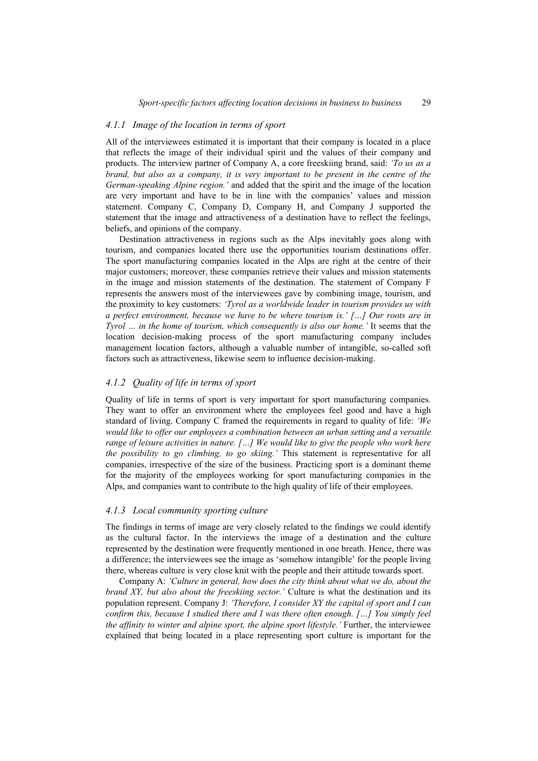#### *4.1.1 Image of the location in terms of sport*

All of the interviewees estimated it is important that their company is located in a place that reflects the image of their individual spirit and the values of their company and products. The interview partner of Company A, a core freeskiing brand, said: *'To us as a brand, but also as a company, it is very important to be present in the centre of the German-speaking Alpine region.'* and added that the spirit and the image of the location are very important and have to be in line with the companies' values and mission statement. Company C, Company D, Company H, and Company J supported the statement that the image and attractiveness of a destination have to reflect the feelings, beliefs, and opinions of the company.

Destination attractiveness in regions such as the Alps inevitably goes along with tourism, and companies located there use the opportunities tourism destinations offer. The sport manufacturing companies located in the Alps are right at the centre of their major customers; moreover, these companies retrieve their values and mission statements in the image and mission statements of the destination. The statement of Company F represents the answers most of the interviewees gave by combining image, tourism, and the proximity to key customers: *'Tyrol as a worldwide leader in tourism provides us with a perfect environment, because we have to be where tourism is.' […] Our roots are in Tyrol … in the home of tourism, which consequently is also our home.'* It seems that the location decision-making process of the sport manufacturing company includes management location factors, although a valuable number of intangible, so-called soft factors such as attractiveness, likewise seem to influence decision-making.

### *4.1.2 Quality of life in terms of sport*

Quality of life in terms of sport is very important for sport manufacturing companies. They want to offer an environment where the employees feel good and have a high standard of living. Company C framed the requirements in regard to quality of life: *'We would like to offer our employees a combination between an urban setting and a versatile range of leisure activities in nature. […] We would like to give the people who work here the possibility to go climbing, to go skiing.'* This statement is representative for all companies, irrespective of the size of the business. Practicing sport is a dominant theme for the majority of the employees working for sport manufacturing companies in the Alps, and companies want to contribute to the high quality of life of their employees.

#### *4.1.3 Local community sporting culture*

The findings in terms of image are very closely related to the findings we could identify as the cultural factor. In the interviews the image of a destination and the culture represented by the destination were frequently mentioned in one breath. Hence, there was a difference; the interviewees see the image as 'somehow intangible' for the people living there, whereas culture is very close knit with the people and their attitude towards sport.

Company A: *'Culture in general, how does the city think about what we do, about the brand XY, but also about the freeskiing sector.'* Culture is what the destination and its population represent. Company J: *'Therefore, I consider XY the capital of sport and I can confirm this, because I studied there and I was there often enough. […] You simply feel the affinity to winter and alpine sport, the alpine sport lifestyle.'* Further, the interviewee explained that being located in a place representing sport culture is important for the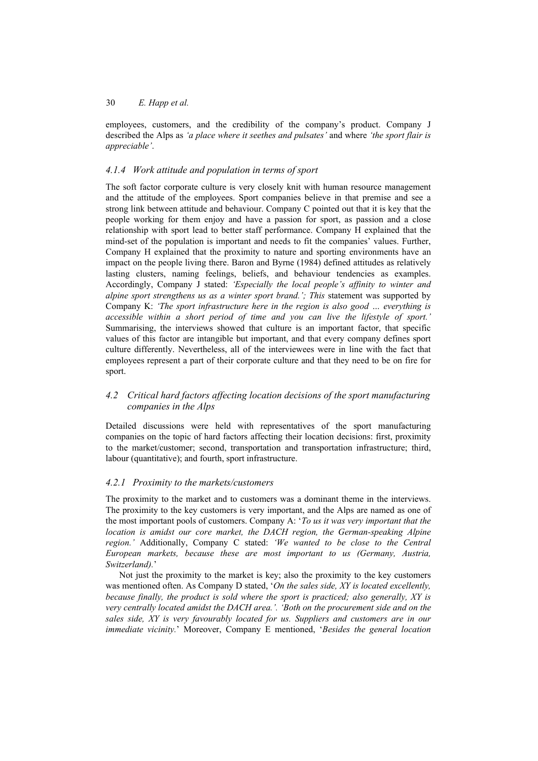employees, customers, and the credibility of the company's product. Company J described the Alps as *'a place where it seethes and pulsates'* and where *'the sport flair is appreciable'*.

# *4.1.4 Work attitude and population in terms of sport*

The soft factor corporate culture is very closely knit with human resource management and the attitude of the employees. Sport companies believe in that premise and see a strong link between attitude and behaviour. Company C pointed out that it is key that the people working for them enjoy and have a passion for sport, as passion and a close relationship with sport lead to better staff performance. Company H explained that the mind-set of the population is important and needs to fit the companies' values. Further, Company H explained that the proximity to nature and sporting environments have an impact on the people living there. Baron and Byrne (1984) defined attitudes as relatively lasting clusters, naming feelings, beliefs, and behaviour tendencies as examples. Accordingly, Company J stated: *'Especially the local people's affinity to winter and alpine sport strengthens us as a winter sport brand.'; This statement was supported by* Company K: *'The sport infrastructure here in the region is also good … everything is accessible within a short period of time and you can live the lifestyle of sport.'*  Summarising, the interviews showed that culture is an important factor, that specific values of this factor are intangible but important, and that every company defines sport culture differently. Nevertheless, all of the interviewees were in line with the fact that employees represent a part of their corporate culture and that they need to be on fire for sport.

# *4.2 Critical hard factors affecting location decisions of the sport manufacturing companies in the Alps*

Detailed discussions were held with representatives of the sport manufacturing companies on the topic of hard factors affecting their location decisions: first, proximity to the market/customer; second, transportation and transportation infrastructure; third, labour (quantitative); and fourth, sport infrastructure.

### *4.2.1 Proximity to the markets/customers*

The proximity to the market and to customers was a dominant theme in the interviews. The proximity to the key customers is very important, and the Alps are named as one of the most important pools of customers. Company A: '*To us it was very important that the location is amidst our core market, the DACH region, the German-speaking Alpine region.'* Additionally, Company C stated: *'We wanted to be close to the Central European markets, because these are most important to us (Germany, Austria, Switzerland).*'

Not just the proximity to the market is key; also the proximity to the key customers was mentioned often. As Company D stated, '*On the sales side, XY is located excellently, because finally, the product is sold where the sport is practiced; also generally, XY is very centrally located amidst the DACH area.'. 'Both on the procurement side and on the sales side, XY is very favourably located for us. Suppliers and customers are in our immediate vicinity.*' Moreover, Company E mentioned, '*Besides the general location*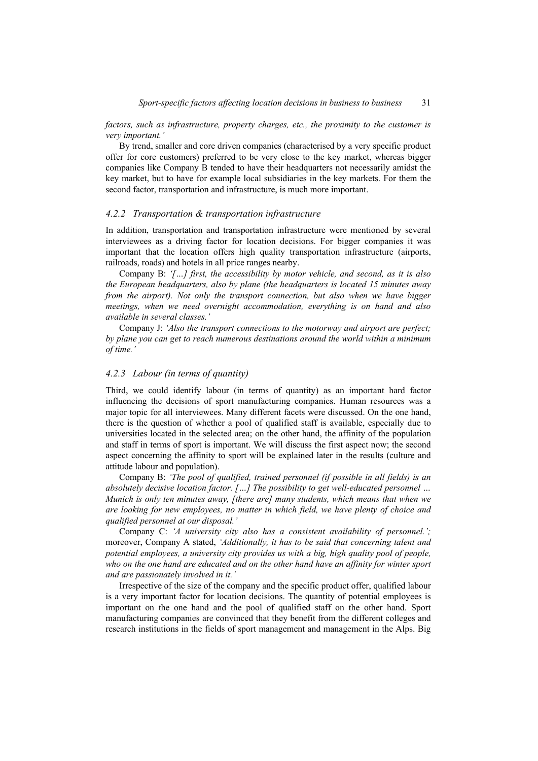*factors, such as infrastructure, property charges, etc., the proximity to the customer is very important.'*

By trend, smaller and core driven companies (characterised by a very specific product offer for core customers) preferred to be very close to the key market, whereas bigger companies like Company B tended to have their headquarters not necessarily amidst the key market, but to have for example local subsidiaries in the key markets. For them the second factor, transportation and infrastructure, is much more important.

#### *4.2.2 Transportation & transportation infrastructure*

In addition, transportation and transportation infrastructure were mentioned by several interviewees as a driving factor for location decisions. For bigger companies it was important that the location offers high quality transportation infrastructure (airports, railroads, roads) and hotels in all price ranges nearby.

Company B: *'[…] first, the accessibility by motor vehicle, and second, as it is also the European headquarters, also by plane (the headquarters is located 15 minutes away from the airport). Not only the transport connection, but also when we have bigger meetings, when we need overnight accommodation, everything is on hand and also available in several classes.'*

Company J: *'Also the transport connections to the motorway and airport are perfect; by plane you can get to reach numerous destinations around the world within a minimum of time.'*

#### *4.2.3 Labour (in terms of quantity)*

Third, we could identify labour (in terms of quantity) as an important hard factor influencing the decisions of sport manufacturing companies. Human resources was a major topic for all interviewees. Many different facets were discussed. On the one hand, there is the question of whether a pool of qualified staff is available, especially due to universities located in the selected area; on the other hand, the affinity of the population and staff in terms of sport is important. We will discuss the first aspect now; the second aspect concerning the affinity to sport will be explained later in the results (culture and attitude labour and population).

Company B: *'The pool of qualified, trained personnel (if possible in all fields) is an absolutely decisive location factor. […] The possibility to get well-educated personnel … Munich is only ten minutes away, [there are] many students, which means that when we are looking for new employees, no matter in which field, we have plenty of choice and qualified personnel at our disposal.'*

Company C: *'A university city also has a consistent availability of personnel.';* moreover, Company A stated, *'Additionally, it has to be said that concerning talent and potential employees, a university city provides us with a big, high quality pool of people, who on the one hand are educated and on the other hand have an affinity for winter sport and are passionately involved in it.'*

Irrespective of the size of the company and the specific product offer, qualified labour is a very important factor for location decisions. The quantity of potential employees is important on the one hand and the pool of qualified staff on the other hand. Sport manufacturing companies are convinced that they benefit from the different colleges and research institutions in the fields of sport management and management in the Alps. Big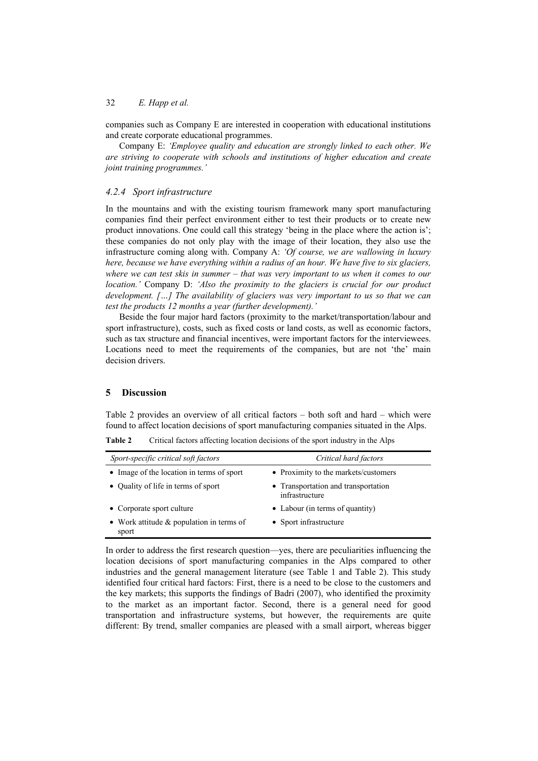companies such as Company E are interested in cooperation with educational institutions and create corporate educational programmes.

Company E: *'Employee quality and education are strongly linked to each other. We are striving to cooperate with schools and institutions of higher education and create joint training programmes.'*

### *4.2.4 Sport infrastructure*

In the mountains and with the existing tourism framework many sport manufacturing companies find their perfect environment either to test their products or to create new product innovations. One could call this strategy 'being in the place where the action is'; these companies do not only play with the image of their location, they also use the infrastructure coming along with. Company A: *'Of course, we are wallowing in luxury here, because we have everything within a radius of an hour. We have five to six glaciers, where we can test skis in summer – that was very important to us when it comes to our location.'* Company D: *'Also the proximity to the glaciers is crucial for our product development. […] The availability of glaciers was very important to us so that we can test the products 12 months a year (further development).'*

Beside the four major hard factors (proximity to the market/transportation/labour and sport infrastructure), costs, such as fixed costs or land costs, as well as economic factors, such as tax structure and financial incentives, were important factors for the interviewees. Locations need to meet the requirements of the companies, but are not 'the' main decision drivers.

### **5 Discussion**

Table 2 provides an overview of all critical factors – both soft and hard – which were found to affect location decisions of sport manufacturing companies situated in the Alps.

| <b>Table 2</b><br>Critical factors affecting location decisions of the sport industry in the Alps |  |
|---------------------------------------------------------------------------------------------------|--|
|---------------------------------------------------------------------------------------------------|--|

| Sport-specific critical soft factors                | Critical hard factors                                 |
|-----------------------------------------------------|-------------------------------------------------------|
| • Image of the location in terms of sport           | • Proximity to the markets/customers                  |
| • Quality of life in terms of sport                 | • Transportation and transportation<br>infrastructure |
| • Corporate sport culture                           | • Labour (in terms of quantity)                       |
| • Work attitude $&$ population in terms of<br>sport | • Sport infrastructure                                |

In order to address the first research question—yes, there are peculiarities influencing the location decisions of sport manufacturing companies in the Alps compared to other industries and the general management literature (see Table 1 and Table 2). This study identified four critical hard factors: First, there is a need to be close to the customers and the key markets; this supports the findings of Badri (2007), who identified the proximity to the market as an important factor. Second, there is a general need for good transportation and infrastructure systems, but however, the requirements are quite different: By trend, smaller companies are pleased with a small airport, whereas bigger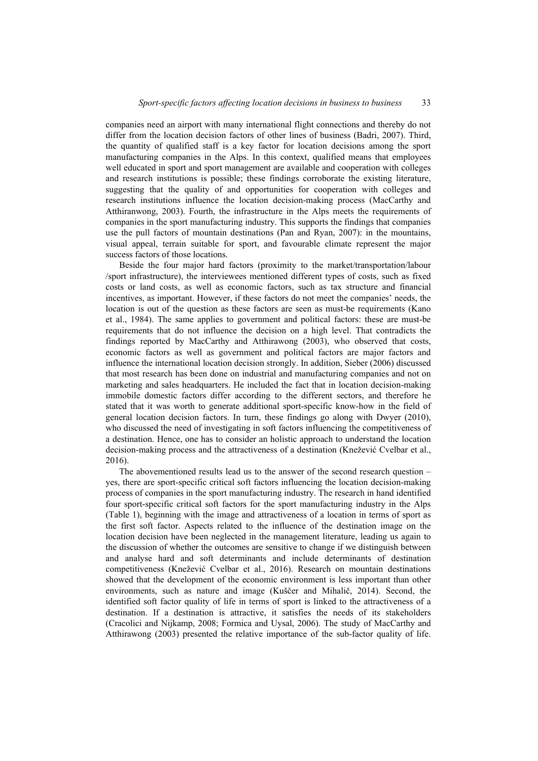companies need an airport with many international flight connections and thereby do not differ from the location decision factors of other lines of business (Badri, 2007). Third, the quantity of qualified staff is a key factor for location decisions among the sport manufacturing companies in the Alps. In this context, qualified means that employees well educated in sport and sport management are available and cooperation with colleges and research institutions is possible; these findings corroborate the existing literature, suggesting that the quality of and opportunities for cooperation with colleges and research institutions influence the location decision-making process (MacCarthy and Atthiranwong, 2003). Fourth, the infrastructure in the Alps meets the requirements of companies in the sport manufacturing industry. This supports the findings that companies use the pull factors of mountain destinations (Pan and Ryan, 2007): in the mountains, visual appeal, terrain suitable for sport, and favourable climate represent the major success factors of those locations.

Beside the four major hard factors (proximity to the market/transportation/labour /sport infrastructure), the interviewees mentioned different types of costs, such as fixed costs or land costs, as well as economic factors, such as tax structure and financial incentives, as important. However, if these factors do not meet the companies' needs, the location is out of the question as these factors are seen as must-be requirements (Kano et al., 1984). The same applies to government and political factors: these are must-be requirements that do not influence the decision on a high level. That contradicts the findings reported by MacCarthy and Atthirawong (2003), who observed that costs, economic factors as well as government and political factors are major factors and influence the international location decision strongly. In addition, Sieber (2006) discussed that most research has been done on industrial and manufacturing companies and not on marketing and sales headquarters. He included the fact that in location decision-making immobile domestic factors differ according to the different sectors, and therefore he stated that it was worth to generate additional sport-specific know-how in the field of general location decision factors. In turn, these findings go along with Dwyer (2010), who discussed the need of investigating in soft factors influencing the competitiveness of a destination. Hence, one has to consider an holistic approach to understand the location decision-making process and the attractiveness of a destination (Knežević Cvelbar et al., 2016).

The abovementioned results lead us to the answer of the second research question – yes, there are sport-specific critical soft factors influencing the location decision-making process of companies in the sport manufacturing industry. The research in hand identified four sport-specific critical soft factors for the sport manufacturing industry in the Alps (Table 1), beginning with the image and attractiveness of a location in terms of sport as the first soft factor. Aspects related to the influence of the destination image on the location decision have been neglected in the management literature, leading us again to the discussion of whether the outcomes are sensitive to change if we distinguish between and analyse hard and soft determinants and include determinants of destination competitiveness (Knežević Cvelbar et al., 2016). Research on mountain destinations showed that the development of the economic environment is less important than other environments, such as nature and image (Kuščer and Mihalič, 2014). Second, the identified soft factor quality of life in terms of sport is linked to the attractiveness of a destination. If a destination is attractive, it satisfies the needs of its stakeholders (Cracolici and Nijkamp, 2008; Formica and Uysal, 2006). The study of MacCarthy and Atthirawong (2003) presented the relative importance of the sub-factor quality of life.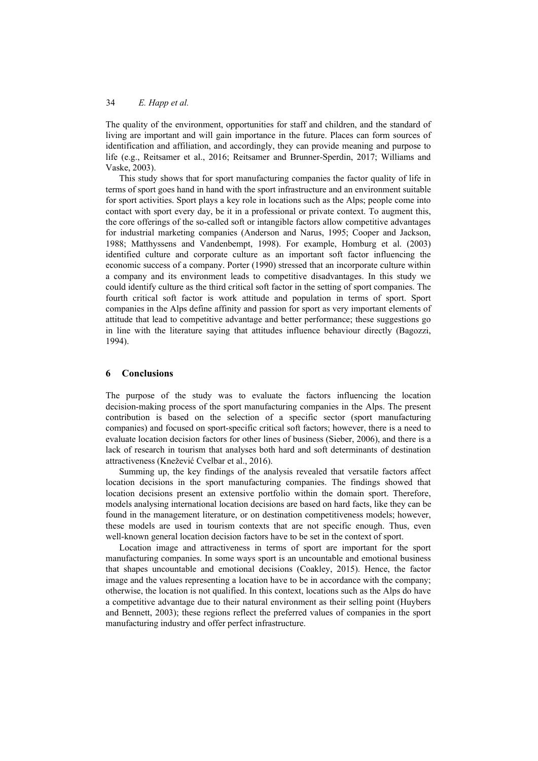The quality of the environment, opportunities for staff and children, and the standard of living are important and will gain importance in the future. Places can form sources of identification and affiliation, and accordingly, they can provide meaning and purpose to life (e.g., Reitsamer et al., 2016; Reitsamer and Brunner-Sperdin, 2017; Williams and Vaske, 2003).

This study shows that for sport manufacturing companies the factor quality of life in terms of sport goes hand in hand with the sport infrastructure and an environment suitable for sport activities. Sport plays a key role in locations such as the Alps; people come into contact with sport every day, be it in a professional or private context. To augment this, the core offerings of the so-called soft or intangible factors allow competitive advantages for industrial marketing companies (Anderson and Narus, 1995; Cooper and Jackson, 1988; Matthyssens and Vandenbempt, 1998). For example, Homburg et al. (2003) identified culture and corporate culture as an important soft factor influencing the economic success of a company. Porter (1990) stressed that an incorporate culture within a company and its environment leads to competitive disadvantages. In this study we could identify culture as the third critical soft factor in the setting of sport companies. The fourth critical soft factor is work attitude and population in terms of sport. Sport companies in the Alps define affinity and passion for sport as very important elements of attitude that lead to competitive advantage and better performance; these suggestions go in line with the literature saying that attitudes influence behaviour directly (Bagozzi, 1994).

### **6 Conclusions**

The purpose of the study was to evaluate the factors influencing the location decision-making process of the sport manufacturing companies in the Alps. The present contribution is based on the selection of a specific sector (sport manufacturing companies) and focused on sport-specific critical soft factors; however, there is a need to evaluate location decision factors for other lines of business (Sieber, 2006), and there is a lack of research in tourism that analyses both hard and soft determinants of destination attractiveness (Knežević Cvelbar et al., 2016).

Summing up, the key findings of the analysis revealed that versatile factors affect location decisions in the sport manufacturing companies. The findings showed that location decisions present an extensive portfolio within the domain sport. Therefore, models analysing international location decisions are based on hard facts, like they can be found in the management literature, or on destination competitiveness models; however, these models are used in tourism contexts that are not specific enough. Thus, even well-known general location decision factors have to be set in the context of sport.

Location image and attractiveness in terms of sport are important for the sport manufacturing companies. In some ways sport is an uncountable and emotional business that shapes uncountable and emotional decisions (Coakley, 2015). Hence, the factor image and the values representing a location have to be in accordance with the company; otherwise, the location is not qualified. In this context, locations such as the Alps do have a competitive advantage due to their natural environment as their selling point (Huybers and Bennett, 2003); these regions reflect the preferred values of companies in the sport manufacturing industry and offer perfect infrastructure.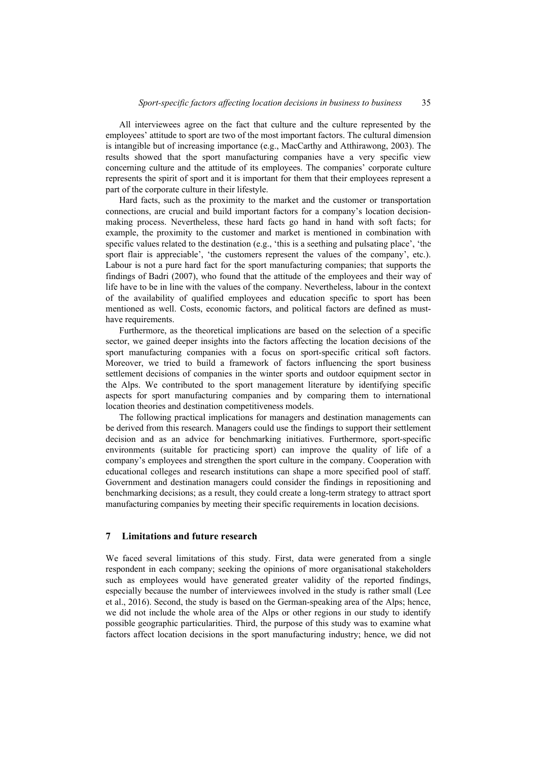All interviewees agree on the fact that culture and the culture represented by the employees' attitude to sport are two of the most important factors. The cultural dimension is intangible but of increasing importance (e.g., MacCarthy and Atthirawong, 2003). The results showed that the sport manufacturing companies have a very specific view concerning culture and the attitude of its employees. The companies' corporate culture represents the spirit of sport and it is important for them that their employees represent a part of the corporate culture in their lifestyle.

Hard facts, such as the proximity to the market and the customer or transportation connections, are crucial and build important factors for a company's location decisionmaking process. Nevertheless, these hard facts go hand in hand with soft facts; for example, the proximity to the customer and market is mentioned in combination with specific values related to the destination (e.g., 'this is a seething and pulsating place', 'the sport flair is appreciable', 'the customers represent the values of the company', etc.). Labour is not a pure hard fact for the sport manufacturing companies; that supports the findings of Badri (2007), who found that the attitude of the employees and their way of life have to be in line with the values of the company. Nevertheless, labour in the context of the availability of qualified employees and education specific to sport has been mentioned as well. Costs, economic factors, and political factors are defined as musthave requirements.

Furthermore, as the theoretical implications are based on the selection of a specific sector, we gained deeper insights into the factors affecting the location decisions of the sport manufacturing companies with a focus on sport-specific critical soft factors. Moreover, we tried to build a framework of factors influencing the sport business settlement decisions of companies in the winter sports and outdoor equipment sector in the Alps. We contributed to the sport management literature by identifying specific aspects for sport manufacturing companies and by comparing them to international location theories and destination competitiveness models.

The following practical implications for managers and destination managements can be derived from this research. Managers could use the findings to support their settlement decision and as an advice for benchmarking initiatives. Furthermore, sport-specific environments (suitable for practicing sport) can improve the quality of life of a company's employees and strengthen the sport culture in the company. Cooperation with educational colleges and research institutions can shape a more specified pool of staff. Government and destination managers could consider the findings in repositioning and benchmarking decisions; as a result, they could create a long-term strategy to attract sport manufacturing companies by meeting their specific requirements in location decisions.

#### **7 Limitations and future research**

We faced several limitations of this study. First, data were generated from a single respondent in each company; seeking the opinions of more organisational stakeholders such as employees would have generated greater validity of the reported findings, especially because the number of interviewees involved in the study is rather small (Lee et al., 2016). Second, the study is based on the German-speaking area of the Alps; hence, we did not include the whole area of the Alps or other regions in our study to identify possible geographic particularities. Third, the purpose of this study was to examine what factors affect location decisions in the sport manufacturing industry; hence, we did not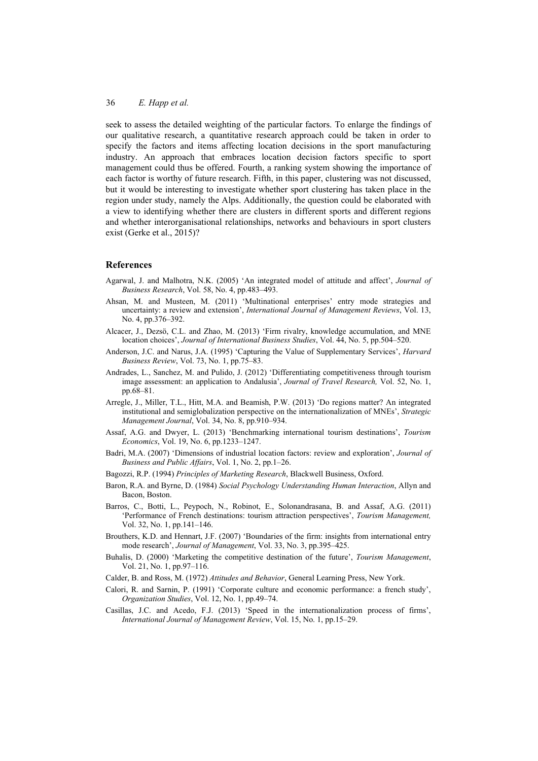seek to assess the detailed weighting of the particular factors. To enlarge the findings of our qualitative research, a quantitative research approach could be taken in order to specify the factors and items affecting location decisions in the sport manufacturing industry. An approach that embraces location decision factors specific to sport management could thus be offered. Fourth, a ranking system showing the importance of each factor is worthy of future research. Fifth, in this paper, clustering was not discussed, but it would be interesting to investigate whether sport clustering has taken place in the region under study, namely the Alps. Additionally, the question could be elaborated with a view to identifying whether there are clusters in different sports and different regions and whether interorganisational relationships, networks and behaviours in sport clusters exist (Gerke et al., 2015)?

### **References**

- Agarwal, J. and Malhotra, N.K. (2005) 'An integrated model of attitude and affect', *Journal of Business Research*, Vol. 58, No. 4, pp.483–493.
- Ahsan, M. and Musteen, M. (2011) 'Multinational enterprises' entry mode strategies and uncertainty: a review and extension', *International Journal of Management Reviews*, Vol. 13, No. 4, pp.376–392.
- Alcacer, J., Dezsö, C.L. and Zhao, M. (2013) 'Firm rivalry, knowledge accumulation, and MNE location choices', *Journal of International Business Studies*, Vol. 44, No. 5, pp.504–520.
- Anderson, J.C. and Narus, J.A. (1995) 'Capturing the Value of Supplementary Services', *Harvard Business Review*, Vol. 73, No. 1, pp.75–83.
- Andrades, L., Sanchez, M. and Pulido, J. (2012) 'Differentiating competitiveness through tourism image assessment: an application to Andalusia', *Journal of Travel Research,* Vol. 52, No. 1, pp.68–81.
- Arregle, J., Miller, T.L., Hitt, M.A. and Beamish, P.W. (2013) 'Do regions matter? An integrated institutional and semiglobalization perspective on the internationalization of MNEs', *Strategic Management Journal*, Vol. 34, No. 8, pp.910–934.
- Assaf, A.G. and Dwyer, L. (2013) 'Benchmarking international tourism destinations', *Tourism Economics*, Vol. 19, No. 6, pp.1233–1247.
- Badri, M.A. (2007) 'Dimensions of industrial location factors: review and exploration', *Journal of Business and Public Affairs*, Vol. 1, No. 2, pp.1–26.
- Bagozzi, R.P. (1994) *Principles of Marketing Research*, Blackwell Business, Oxford.
- Baron, R.A. and Byrne, D. (1984) *Social Psychology Understanding Human Interaction*, Allyn and Bacon, Boston.
- Barros, C., Botti, L., Peypoch, N., Robinot, E., Solonandrasana, B. and Assaf, A.G. (2011) 'Performance of French destinations: tourism attraction perspectives', *Tourism Management,*  Vol. 32, No. 1, pp.141–146.
- Brouthers, K.D. and Hennart, J.F. (2007) 'Boundaries of the firm: insights from international entry mode research', *Journal of Management*, Vol. 33, No. 3, pp.395–425.
- Buhalis, D. (2000) 'Marketing the competitive destination of the future', *Tourism Management*, Vol. 21, No. 1, pp.97–116.
- Calder, B. and Ross, M. (1972) *Attitudes and Behavior*, General Learning Press, New York.
- Calori, R. and Sarnin, P. (1991) 'Corporate culture and economic performance: a french study', *Organization Studies*, Vol. 12, No. 1, pp.49–74.
- Casillas, J.C. and Acedo, F.J. (2013) 'Speed in the internationalization process of firms', *International Journal of Management Review*, Vol. 15, No. 1, pp.15–29.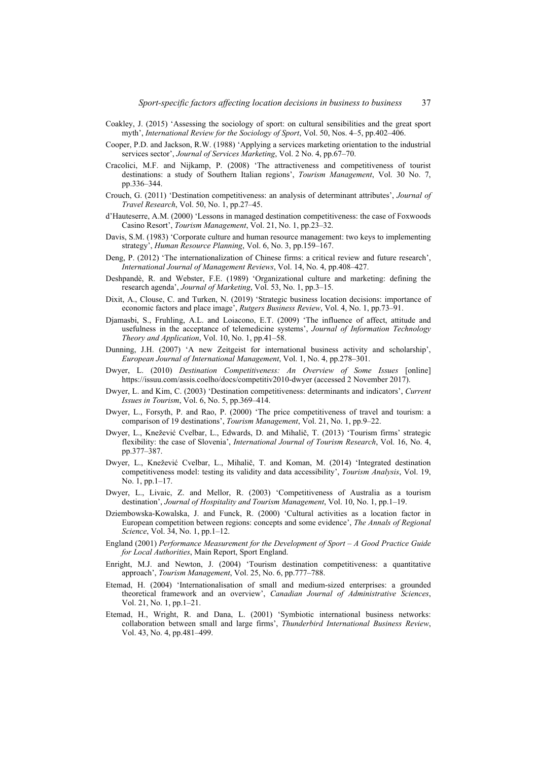- Coakley, J. (2015) 'Assessing the sociology of sport: on cultural sensibilities and the great sport myth', *International Review for the Sociology of Sport*, Vol. 50, Nos. 4–5, pp.402–406.
- Cooper, P.D. and Jackson, R.W. (1988) 'Applying a services marketing orientation to the industrial services sector', *Journal of Services Marketing*, Vol. 2 No. 4, pp.67–70.
- Cracolici, M.F. and Nijkamp, P. (2008) 'The attractiveness and competitiveness of tourist destinations: a study of Southern Italian regions', *Tourism Management*, Vol. 30 No. 7, pp.336–344.
- Crouch, G. (2011) 'Destination competitiveness: an analysis of determinant attributes', *Journal of Travel Research*, Vol. 50, No. 1, pp.27–45.
- d'Hauteserre, A.M. (2000) 'Lessons in managed destination competitiveness: the case of Foxwoods Casino Resort', *Tourism Management*, Vol. 21, No. 1, pp.23–32.
- Davis, S.M. (1983) 'Corporate culture and human resource management: two keys to implementing strategy', *Human Resource Planning*, Vol. 6, No. 3, pp.159–167.
- Deng, P. (2012) 'The internationalization of Chinese firms: a critical review and future research', *International Journal of Management Reviews*, Vol. 14, No. 4, pp.408–427.
- Deshpandè, R. and Webster, F.E. (1989) 'Organizational culture and marketing: defining the research agenda', *Journal of Marketing*, Vol. 53, No. 1, pp.3–15.
- Dixit, A., Clouse, C. and Turken, N. (2019) 'Strategic business location decisions: importance of economic factors and place image', *Rutgers Business Review*, Vol. 4, No. 1, pp.73–91.
- Djamasbi, S., Fruhling, A.L. and Loiacono, E.T. (2009) 'The influence of affect, attitude and usefulness in the acceptance of telemedicine systems', *Journal of Information Technology Theory and Application*, Vol. 10, No. 1, pp.41–58.
- Dunning, J.H. (2007) 'A new Zeitgeist for international business activity and scholarship', *European Journal of International Management*, Vol. 1, No. 4, pp.278–301.
- Dwyer, L. (2010) *Destination Competitiveness: An Overview of Some Issues* [online] https://issuu.com/assis.coelho/docs/competitiv2010-dwyer (accessed 2 November 2017).
- Dwyer, L. and Kim, C. (2003) 'Destination competitiveness: determinants and indicators', *Current Issues in Tourism*, Vol. 6, No. 5, pp.369–414.
- Dwyer, L., Forsyth, P. and Rao, P. (2000) 'The price competitiveness of travel and tourism: a comparison of 19 destinations', *Tourism Management*, Vol. 21, No. 1, pp.9–22.
- Dwyer, L., Knežević Cvelbar, L., Edwards, D. and Mihalič, T. (2013) 'Tourism firms' strategic flexibility: the case of Slovenia', *International Journal of Tourism Research*, Vol. 16, No. 4, pp.377–387.
- Dwyer, L., Knežević Cvelbar, L., Mihalič, T. and Koman, M. (2014) 'Integrated destination competitiveness model: testing its validity and data accessibility', *Tourism Analysis*, Vol. 19, No. 1, pp.1–17.
- Dwyer, L., Livaic, Z. and Mellor, R. (2003) 'Competitiveness of Australia as a tourism destination', *Journal of Hospitality and Tourism Management*, Vol. 10, No. 1, pp.1–19.
- Dziembowska-Kowalska, J. and Funck, R. (2000) 'Cultural activities as a location factor in European competition between regions: concepts and some evidence', *The Annals of Regional Science*, Vol. 34, No. 1, pp.1–12.
- England (2001) *Performance Measurement for the Development of Sport A Good Practice Guide for Local Authorities*, Main Report, Sport England.
- Enright, M.J. and Newton, J. (2004) 'Tourism destination competitiveness: a quantitative approach', *Tourism Management*, Vol. 25, No. 6, pp.777–788.
- Etemad, H. (2004) 'Internationalisation of small and medium-sized enterprises: a grounded theoretical framework and an overview', *Canadian Journal of Administrative Sciences*, Vol. 21, No. 1, pp.1–21.
- Etemad, H., Wright, R. and Dana, L. (2001) 'Symbiotic international business networks: collaboration between small and large firms', *Thunderbird International Business Review*, Vol. 43, No. 4, pp.481–499.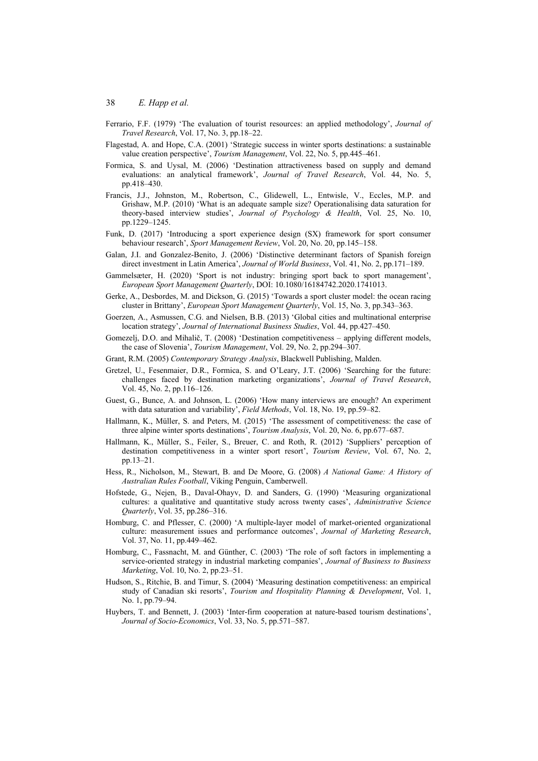- Ferrario, F.F. (1979) 'The evaluation of tourist resources: an applied methodology', *Journal of Travel Research*, Vol. 17, No. 3, pp.18–22.
- Flagestad, A. and Hope, C.A. (2001) 'Strategic success in winter sports destinations: a sustainable value creation perspective', *Tourism Management*, Vol. 22, No. 5, pp.445–461.
- Formica, S. and Uysal, M. (2006) 'Destination attractiveness based on supply and demand evaluations: an analytical framework', *Journal of Travel Research*, Vol. 44, No. 5, pp.418–430.
- Francis, J.J., Johnston, M., Robertson, C., Glidewell, L., Entwisle, V., Eccles, M.P. and Grishaw, M.P. (2010) 'What is an adequate sample size? Operationalising data saturation for theory-based interview studies', *Journal of Psychology & Health*, Vol. 25, No. 10, pp.1229–1245.
- Funk, D. (2017) 'Introducing a sport experience design (SX) framework for sport consumer behaviour research', *Sport Management Review*, Vol. 20, No. 20, pp.145–158.
- Galan, J.I. and Gonzalez-Benito, J. (2006) 'Distinctive determinant factors of Spanish foreign direct investment in Latin America', *Journal of World Business*, Vol. 41, No. 2, pp.171–189.
- Gammelsæter, H. (2020) 'Sport is not industry: bringing sport back to sport management', *European Sport Management Quarterly*, DOI: 10.1080/16184742.2020.1741013.
- Gerke, A., Desbordes, M. and Dickson, G. (2015) 'Towards a sport cluster model: the ocean racing cluster in Brittany', *European Sport Management Quarterly*, Vol. 15, No. 3, pp.343–363.
- Goerzen, A., Asmussen, C.G. and Nielsen, B.B. (2013) 'Global cities and multinational enterprise location strategy', *Journal of International Business Studies*, Vol. 44, pp.427–450.
- Gomezelj, D.O. and Mihalič, T. (2008) 'Destination competitiveness applying different models, the case of Slovenia', *Tourism Management*, Vol. 29, No. 2, pp.294–307.
- Grant, R.M. (2005) *Contemporary Strategy Analysis*, Blackwell Publishing, Malden.
- Gretzel, U., Fesenmaier, D.R., Formica, S. and O'Leary, J.T. (2006) 'Searching for the future: challenges faced by destination marketing organizations', *Journal of Travel Research*, Vol. 45, No. 2, pp.116–126.
- Guest, G., Bunce, A. and Johnson, L. (2006) 'How many interviews are enough? An experiment with data saturation and variability', *Field Methods*, Vol. 18, No. 19, pp.59–82.
- Hallmann, K., Müller, S. and Peters, M. (2015) 'The assessment of competitiveness: the case of three alpine winter sports destinations', *Tourism Analysis*, Vol. 20, No. 6, pp.677–687.
- Hallmann, K., Müller, S., Feiler, S., Breuer, C. and Roth, R. (2012) 'Suppliers' perception of destination competitiveness in a winter sport resort', *Tourism Review*, Vol. 67, No. 2, pp.13–21.
- Hess, R., Nicholson, M., Stewart, B. and De Moore, G. (2008) *A National Game: A History of Australian Rules Football*, Viking Penguin, Camberwell.
- Hofstede, G., Nejen, B., Daval-Ohayv, D. and Sanders, G. (1990) 'Measuring organizational cultures: a qualitative and quantitative study across twenty cases', *Administrative Science Quarterly*, Vol. 35, pp.286–316.
- Homburg, C. and Pflesser, C. (2000) 'A multiple-layer model of market-oriented organizational culture: measurement issues and performance outcomes', *Journal of Marketing Research*, Vol. 37, No. 11, pp.449–462.
- Homburg, C., Fassnacht, M. and Günther, C. (2003) 'The role of soft factors in implementing a service-oriented strategy in industrial marketing companies', *Journal of Business to Business Marketing*, Vol. 10, No. 2, pp.23–51.
- Hudson, S., Ritchie, B. and Timur, S. (2004) 'Measuring destination competitiveness: an empirical study of Canadian ski resorts', *Tourism and Hospitality Planning & Development*, Vol. 1, No. 1, pp.79–94.
- Huybers, T. and Bennett, J. (2003) 'Inter-firm cooperation at nature-based tourism destinations', *Journal of Socio-Economics*, Vol. 33, No. 5, pp.571–587.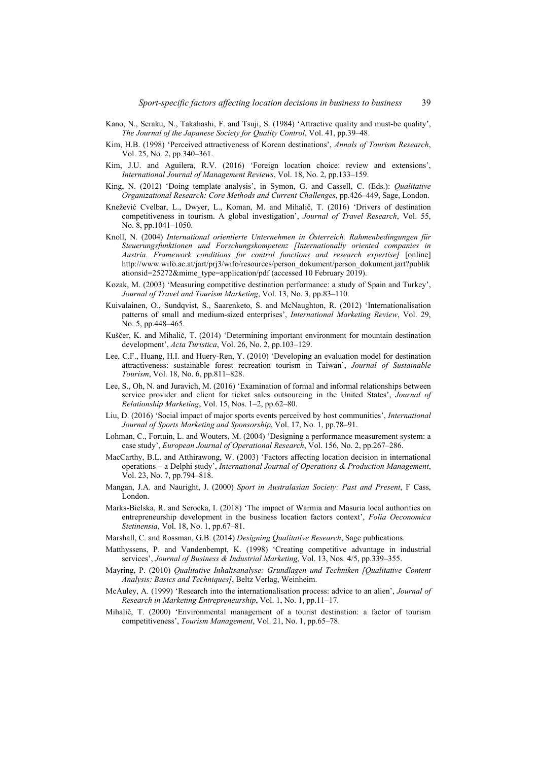- Kano, N., Seraku, N., Takahashi, F. and Tsuji, S. (1984) 'Attractive quality and must-be quality', *The Journal of the Japanese Society for Quality Control*, Vol. 41, pp.39–48.
- Kim, H.B. (1998) 'Perceived attractiveness of Korean destinations', *Annals of Tourism Research*, Vol. 25, No. 2, pp.340–361.
- Kim, J.U. and Aguilera, R.V. (2016) 'Foreign location choice: review and extensions', *International Journal of Management Reviews*, Vol. 18, No. 2, pp.133–159.
- King, N. (2012) 'Doing template analysis', in Symon, G. and Cassell, C. (Eds.): *Qualitative Organizational Research: Core Methods and Current Challenges*, pp.426–449, Sage, London.
- Knežević Cvelbar, L., Dwyer, L., Koman, M. and Mihalič, T. (2016) 'Drivers of destination competitiveness in tourism. A global investigation', *Journal of Travel Research*, Vol. 55, No. 8, pp.1041–1050.
- Knoll, N. (2004) *International orientierte Unternehmen in Österreich. Rahmenbedingungen für Steuerungsfunktionen und Forschungskompetenz [Internationally oriented companies in Austria. Framework conditions for control functions and research expertise]* [online] http://www.wifo.ac.at/jart/prj3/wifo/resources/person\_dokument/person\_dokument.jart?publik ationsid=25272&mime\_type=application/pdf (accessed 10 February 2019).
- Kozak, M. (2003) 'Measuring competitive destination performance: a study of Spain and Turkey', *Journal of Travel and Tourism Marketing*, Vol. 13, No. 3, pp.83–110.
- Kuivalainen, O., Sundqvist, S., Saarenketo, S. and McNaughton, R. (2012) 'Internationalisation patterns of small and medium-sized enterprises', *International Marketing Review*, Vol. 29, No. 5, pp.448–465.
- Kuščer, K. and Mihalič, T. (2014) 'Determining important environment for mountain destination development', *Acta Turistica*, Vol. 26, No. 2, pp.103–129.
- Lee, C.F., Huang, H.I. and Huery-Ren, Y. (2010) 'Developing an evaluation model for destination attractiveness: sustainable forest recreation tourism in Taiwan', *Journal of Sustainable Tourism*, Vol. 18, No. 6, pp.811–828.
- Lee, S., Oh, N. and Juravich, M. (2016) 'Examination of formal and informal relationships between service provider and client for ticket sales outsourcing in the United States', *Journal of Relationship Marketing*, Vol. 15, Nos. 1–2, pp.62–80.
- Liu, D. (2016) 'Social impact of major sports events perceived by host communities', *International Journal of Sports Marketing and Sponsorship*, Vol. 17, No. 1, pp.78–91.
- Lohman, C., Fortuin, L. and Wouters, M. (2004) 'Designing a performance measurement system: a case study', *European Journal of Operational Research*, Vol. 156, No. 2, pp.267–286.
- MacCarthy, B.L. and Atthirawong, W. (2003) 'Factors affecting location decision in international operations – a Delphi study', *International Journal of Operations & Production Management*, Vol. 23, No. 7, pp.794–818.
- Mangan, J.A. and Nauright, J. (2000) *Sport in Australasian Society: Past and Present*, F Cass, London.
- Marks-Bielska, R. and Serocka, I. (2018) 'The impact of Warmia and Masuria local authorities on entrepreneurship development in the business location factors context', *Folia Oeconomica Stetinensia*, Vol. 18, No. 1, pp.67–81.
- Marshall, C. and Rossman, G.B. (2014) *Designing Qualitative Research*, Sage publications.
- Matthyssens, P. and Vandenbempt, K. (1998) 'Creating competitive advantage in industrial services', *Journal of Business & Industrial Marketing*, Vol. 13, Nos. 4/5, pp.339–355.
- Mayring, P. (2010) *Qualitative Inhaltsanalyse: Grundlagen und Techniken [Qualitative Content Analysis: Basics and Techniques]*, Beltz Verlag, Weinheim.
- McAuley, A. (1999) 'Research into the internationalisation process: advice to an alien', *Journal of Research in Marketing Entrepreneurship*, Vol. 1, No. 1, pp.11–17.
- Mihalič, T. (2000) 'Environmental management of a tourist destination: a factor of tourism competitiveness', *Tourism Management*, Vol. 21, No. 1, pp.65–78.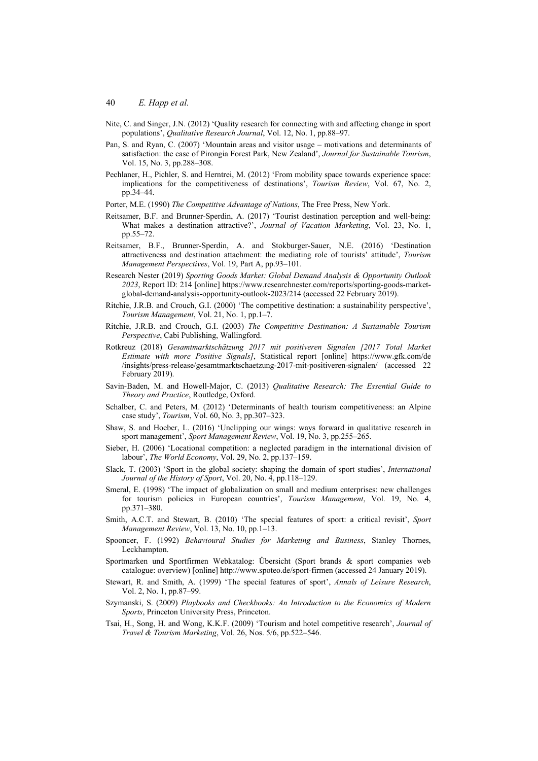- Nite, C. and Singer, J.N. (2012) 'Quality research for connecting with and affecting change in sport populations', *Qualitative Research Journal*, Vol. 12, No. 1, pp.88–97.
- Pan, S. and Ryan, C. (2007) 'Mountain areas and visitor usage motivations and determinants of satisfaction: the case of Pirongia Forest Park, New Zealand', *Journal for Sustainable Tourism*, Vol. 15, No. 3, pp.288–308.
- Pechlaner, H., Pichler, S. and Herntrei, M. (2012) 'From mobility space towards experience space: implications for the competitiveness of destinations', *Tourism Review*, Vol. 67, No. 2, pp.34–44.
- Porter, M.E. (1990) *The Competitive Advantage of Nations*, The Free Press, New York.
- Reitsamer, B.F. and Brunner-Sperdin, A. (2017) 'Tourist destination perception and well-being: What makes a destination attractive?', *Journal of Vacation Marketing*, Vol. 23, No. 1, pp.55–72.
- Reitsamer, B.F., Brunner-Sperdin, A. and Stokburger-Sauer, N.E. (2016) 'Destination attractiveness and destination attachment: the mediating role of tourists' attitude', *Tourism Management Perspectives*, Vol. 19, Part A, pp.93–101.
- Research Nester (2019) *Sporting Goods Market: Global Demand Analysis & Opportunity Outlook 2023*, Report ID: 214 [online] https://www.researchnester.com/reports/sporting-goods-marketglobal-demand-analysis-opportunity-outlook-2023/214 (accessed 22 February 2019).
- Ritchie, J.R.B. and Crouch, G.I. (2000) 'The competitive destination: a sustainability perspective', *Tourism Management*, Vol. 21, No. 1, pp.1–7.
- Ritchie, J.R.B. and Crouch, G.I. (2003) *The Competitive Destination: A Sustainable Tourism Perspective*, Cabi Publishing, Wallingford.
- Rotkreuz (2018) *Gesamtmarktschätzung 2017 mit positiveren Signalen [2017 Total Market Estimate with more Positive Signals]*, Statistical report [online] https://www.gfk.com/de /insights/press-release/gesamtmarktschaetzung-2017-mit-positiveren-signalen/ (accessed 22 February 2019).
- Savin-Baden, M. and Howell-Major, C. (2013) *Qualitative Research: The Essential Guide to Theory and Practice*, Routledge, Oxford.
- Schalber, C. and Peters, M. (2012) 'Determinants of health tourism competitiveness: an Alpine case study', *Tourism*, Vol. 60, No. 3, pp.307–323.
- Shaw, S. and Hoeber, L. (2016) 'Unclipping our wings: ways forward in qualitative research in sport management', *Sport Management Review*, Vol. 19, No. 3, pp.255–265.
- Sieber, H. (2006) 'Locational competition: a neglected paradigm in the international division of labour', *The World Economy*, Vol. 29, No. 2, pp.137–159.
- Slack, T. (2003) 'Sport in the global society: shaping the domain of sport studies', *International Journal of the History of Sport*, Vol. 20, No. 4, pp.118–129.
- Smeral, E. (1998) 'The impact of globalization on small and medium enterprises: new challenges for tourism policies in European countries', *Tourism Management*, Vol. 19, No. 4, pp.371–380.
- Smith, A.C.T. and Stewart, B. (2010) 'The special features of sport: a critical revisit', *Sport Management Review*, Vol. 13, No. 10, pp.1–13.
- Spooncer, F. (1992) *Behavioural Studies for Marketing and Business*, Stanley Thornes, Leckhampton.
- Sportmarken und Sportfirmen Webkatalog: Übersicht (Sport brands & sport companies web catalogue: overview) [online] http://www.spoteo.de/sport-firmen (accessed 24 January 2019).
- Stewart, R. and Smith, A. (1999) 'The special features of sport', *Annals of Leisure Research*, Vol. 2, No. 1, pp.87–99.
- Szymanski, S. (2009) *Playbooks and Checkbooks: An Introduction to the Economics of Modern Sports*, Princeton University Press, Princeton.
- Tsai, H., Song, H. and Wong, K.K.F. (2009) 'Tourism and hotel competitive research', *Journal of Travel & Tourism Marketing*, Vol. 26, Nos. 5/6, pp.522–546.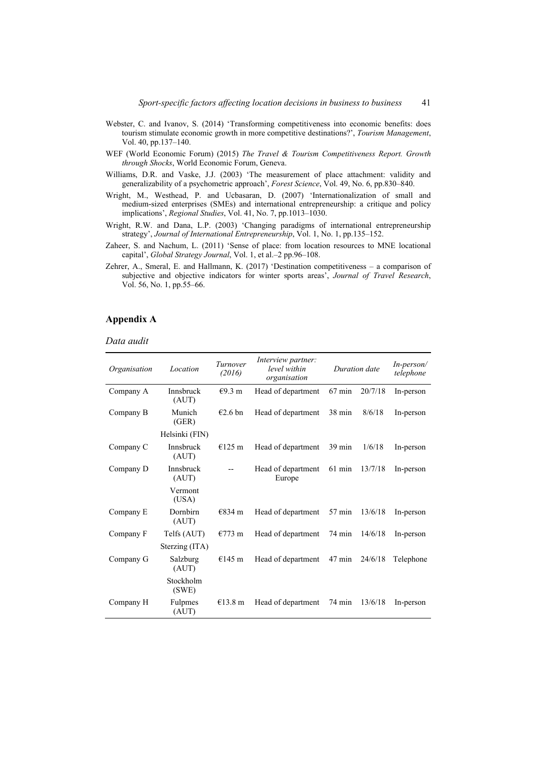- Webster, C. and Ivanov, S. (2014) 'Transforming competitiveness into economic benefits: does tourism stimulate economic growth in more competitive destinations?', *Tourism Management*, Vol. 40, pp.137–140.
- WEF (World Economic Forum) (2015) *The Travel & Tourism Competitiveness Report. Growth through Shocks*, World Economic Forum, Geneva.
- Williams, D.R. and Vaske, J.J. (2003) 'The measurement of place attachment: validity and generalizability of a psychometric approach', *Forest Science*, Vol. 49, No. 6, pp.830–840.
- Wright, M., Westhead, P. and Ucbasaran, D. (2007) 'Internationalization of small and medium-sized enterprises (SMEs) and international entrepreneurship: a critique and policy implications', *Regional Studies*, Vol. 41, No. 7, pp.1013–1030.
- Wright, R.W. and Dana, L.P. (2003) 'Changing paradigms of international entrepreneurship strategy', *Journal of International Entrepreneurship*, Vol. 1, No. 1, pp.135–152.
- Zaheer, S. and Nachum, L. (2011) 'Sense of place: from location resources to MNE locational capital', *Global Strategy Journal*, Vol. 1, et al.–2 pp.96–108.
- Zehrer, A., Smeral, E. and Hallmann, K. (2017) 'Destination competitiveness a comparison of subjective and objective indicators for winter sports areas', *Journal of Travel Research*, Vol. 56, No. 1, pp.55–66.

### **Appendix A**

*Data audit* 

| Organisation | Location                  | Turnover<br>(2016) | Interview partner:<br>level within<br>organisation | Duration date    |                | $In-person/$<br>telephone |  |
|--------------|---------------------------|--------------------|----------------------------------------------------|------------------|----------------|---------------------------|--|
| Company A    | <b>Innsbruck</b><br>(AUT) | $\epsilon$ 9.3 m   | Head of department                                 | $67 \text{ min}$ | 20/7/18        | In-person                 |  |
| Company B    | Munich<br>(GER)           | $€2.6 \text{ bn}$  | Head of department                                 | $38 \text{ min}$ | 8/6/18         | In-person                 |  |
|              | Helsinki (FIN)            |                    |                                                    |                  |                |                           |  |
| Company C    | Innsbruck<br>(AUT)        | €125 m             | Head of department                                 | $39 \text{ min}$ | 1/6/18         | In-person                 |  |
| Company D    | <b>Innsbruck</b><br>(AUT) |                    | Head of department<br>Europe                       | $61 \text{ min}$ | 13/7/18        | In-person                 |  |
|              | Vermont<br>(USA)          |                    |                                                    |                  |                |                           |  |
| Company E    | Dornbirn<br>(AUT)         | €834 m             | Head of department                                 | 57 min           | 13/6/18        | In-person                 |  |
| Company F    | Telfs (AUT)               | $€773 \text{ m}$   | Head of department                                 | 74 min           | 14/6/18        | In-person                 |  |
|              | Sterzing (ITA)            |                    |                                                    |                  |                |                           |  |
| Company G    | Salzburg<br>(AUT)         | $€145$ m           | Head of department                                 |                  | 47 min 24/6/18 | Telephone                 |  |
|              | Stockholm<br>(SWE)        |                    |                                                    |                  |                |                           |  |
| Company H    | Fulpmes<br>(AUT)          | €13.8 m            | Head of department                                 | 74 min           | 13/6/18        | In-person                 |  |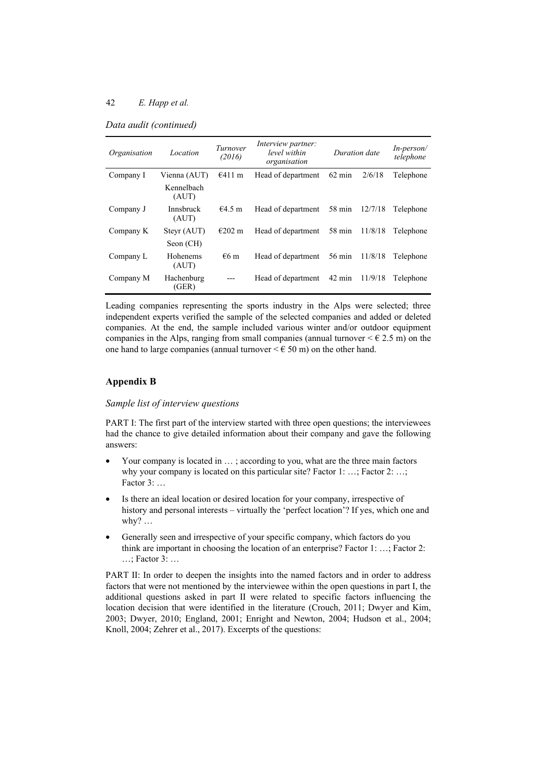| Organisation | Location            | Turnover<br>(2016) | Interview partner:<br>level within<br>organisation | Duration date    |         | $In-person/$<br>telephone |
|--------------|---------------------|--------------------|----------------------------------------------------|------------------|---------|---------------------------|
| Company I    | Vienna (AUT)        | €411 m             | Head of department                                 | $62 \text{ min}$ | 2/6/18  | Telephone                 |
|              | Kennelbach<br>(AUT) |                    |                                                    |                  |         |                           |
| Company J    | Innsbruck<br>(AUT)  | €4.5 m             | Head of department                                 | 58 min           | 12/7/18 | Telephone                 |
| Company K    | Stevr (AUT)         | $E202 \text{ m}$   | Head of department                                 | 58 min           | 11/8/18 | Telephone                 |
|              | Seon (CH)           |                    |                                                    |                  |         |                           |
| Company L    | Hohenems<br>(AUT)   | $\epsilon$ 6 m     | Head of department                                 | $56 \text{ min}$ | 11/8/18 | Telephone                 |
| Company M    | Hachenburg<br>(GER) |                    | Head of department                                 | $42 \text{ min}$ | 11/9/18 | Telephone                 |

Leading companies representing the sports industry in the Alps were selected; three independent experts verified the sample of the selected companies and added or deleted companies. At the end, the sample included various winter and/or outdoor equipment companies in the Alps, ranging from small companies (annual turnover  $\leq \epsilon$  2.5 m) on the one hand to large companies (annual turnover  $\leq \epsilon$  50 m) on the other hand.

# **Appendix B**

### *Sample list of interview questions*

PART I: The first part of the interview started with three open questions; the interviewees had the chance to give detailed information about their company and gave the following answers:

- Your company is located in … ; according to you, what are the three main factors why your company is located on this particular site? Factor 1: ...; Factor 2: ...; Factor 3: …
- Is there an ideal location or desired location for your company, irrespective of history and personal interests – virtually the 'perfect location'? If yes, which one and why? …
- Generally seen and irrespective of your specific company, which factors do you think are important in choosing the location of an enterprise? Factor 1: …; Factor 2: …; Factor 3: …

PART II: In order to deepen the insights into the named factors and in order to address factors that were not mentioned by the interviewee within the open questions in part I, the additional questions asked in part II were related to specific factors influencing the location decision that were identified in the literature (Crouch, 2011; Dwyer and Kim, 2003; Dwyer, 2010; England, 2001; Enright and Newton, 2004; Hudson et al., 2004; Knoll, 2004; Zehrer et al., 2017). Excerpts of the questions: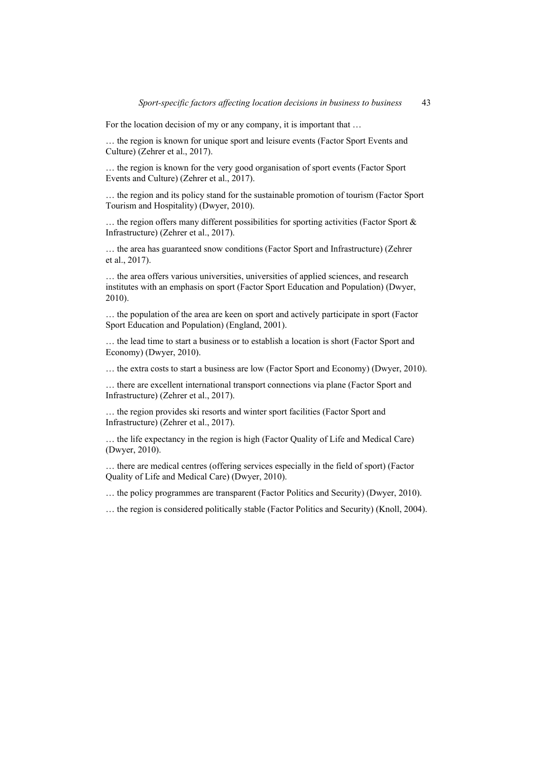For the location decision of my or any company, it is important that …

… the region is known for unique sport and leisure events (Factor Sport Events and Culture) (Zehrer et al., 2017).

… the region is known for the very good organisation of sport events (Factor Sport Events and Culture) (Zehrer et al., 2017).

… the region and its policy stand for the sustainable promotion of tourism (Factor Sport Tourism and Hospitality) (Dwyer, 2010).

 $\ldots$  the region offers many different possibilities for sporting activities (Factor Sport & Infrastructure) (Zehrer et al., 2017).

… the area has guaranteed snow conditions (Factor Sport and Infrastructure) (Zehrer et al., 2017).

… the area offers various universities, universities of applied sciences, and research institutes with an emphasis on sport (Factor Sport Education and Population) (Dwyer, 2010).

… the population of the area are keen on sport and actively participate in sport (Factor Sport Education and Population) (England, 2001).

… the lead time to start a business or to establish a location is short (Factor Sport and Economy) (Dwyer, 2010).

… the extra costs to start a business are low (Factor Sport and Economy) (Dwyer, 2010).

… there are excellent international transport connections via plane (Factor Sport and Infrastructure) (Zehrer et al., 2017).

… the region provides ski resorts and winter sport facilities (Factor Sport and Infrastructure) (Zehrer et al., 2017).

… the life expectancy in the region is high (Factor Quality of Life and Medical Care) (Dwyer, 2010).

… there are medical centres (offering services especially in the field of sport) (Factor Quality of Life and Medical Care) (Dwyer, 2010).

… the policy programmes are transparent (Factor Politics and Security) (Dwyer, 2010).

… the region is considered politically stable (Factor Politics and Security) (Knoll, 2004).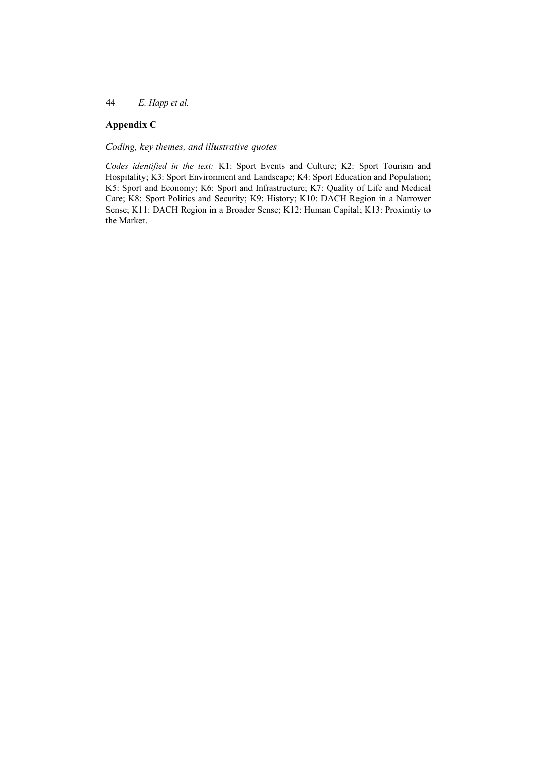# **Appendix C**

*Coding, key themes, and illustrative quotes* 

*Codes identified in the text:* K1: Sport Events and Culture; K2: Sport Tourism and Hospitality; K3: Sport Environment and Landscape; K4: Sport Education and Population; K5: Sport and Economy; K6: Sport and Infrastructure; K7: Quality of Life and Medical Care; K8: Sport Politics and Security; K9: History; K10: DACH Region in a Narrower Sense; K11: DACH Region in a Broader Sense; K12: Human Capital; K13: Proximtiy to the Market.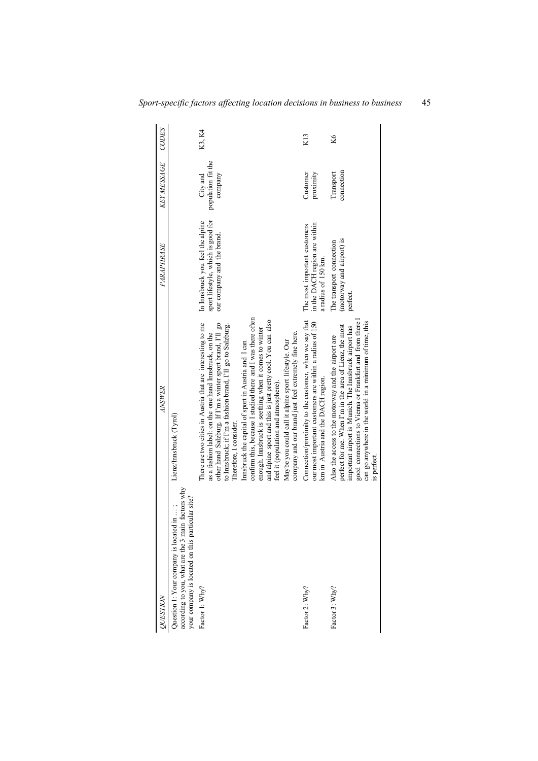| <b>CODES</b><br><b>KEY MESSAGE</b> |                                                                                                                                                   | K3, K4<br>population fit the<br>company<br>City and                                                                                                                                                                                                                      |                                                                                                                                                                                                                                                                                    |                                                                                                             | K <sub>13</sub><br>Customer<br>proximity                                                                                                                | K6<br>connection<br>Transport                                                                                                                                                                                                                                                                   |
|------------------------------------|---------------------------------------------------------------------------------------------------------------------------------------------------|--------------------------------------------------------------------------------------------------------------------------------------------------------------------------------------------------------------------------------------------------------------------------|------------------------------------------------------------------------------------------------------------------------------------------------------------------------------------------------------------------------------------------------------------------------------------|-------------------------------------------------------------------------------------------------------------|---------------------------------------------------------------------------------------------------------------------------------------------------------|-------------------------------------------------------------------------------------------------------------------------------------------------------------------------------------------------------------------------------------------------------------------------------------------------|
| PARAPHRASE                         |                                                                                                                                                   | sport lifestyle, which is good for<br>In Innsbruck you feel the alpine<br>our company and the brand.                                                                                                                                                                     |                                                                                                                                                                                                                                                                                    |                                                                                                             | in the DACH region are within<br>The most important customers<br>a radius of 150 km.                                                                    | (motorway and airport) is<br>The transport connection<br>perfect.                                                                                                                                                                                                                               |
| <b>ANSWER</b>                      | Lienz/Innsbruck (Tyrol)                                                                                                                           | There are two cities in Austria that are interesting to me<br>other hand Salzburg. If I'm a winter sport brand, I'll go<br>to Innsbruck; if I'm a fashion brand, I'll go to Salzburg.<br>as a fashion label: on the one hand Innsbruck, on the<br>Therefore, I consider. | confirm this, because I studied there and I was there often<br>and alpine sport and this is just pretty cool. You can also<br>enough. Innsbruck is seething when it comes to winter<br>Innsbruck the capital of sport in Austria and I can<br>feel it (population and atmosphere). | company and our brand just feel extremely fine here.<br>Maybe you could call it alpine sport lifestyle. Our | Connection/proximity to the customer, when we say that<br>our most important customers are within a radius of 150<br>km in Austria and the DACH region. | good connections to Vienna or Frankfurt and from there I<br>can go anywhere in the world in a minimum of time, this<br>perfect for me. When I'm in the area of Lienz, the most<br>important airport is Munich. The Innsbruck airport has<br>Also the access to the motorway and the airport are |
| QUESTION                           | according to you, what are the 3 main factors why<br>your company is located on this particular site?<br>Question 1: Your company is located in ; | Factor 1: Why?                                                                                                                                                                                                                                                           |                                                                                                                                                                                                                                                                                    |                                                                                                             | Factor 2: Why?                                                                                                                                          | Factor 3: Why?                                                                                                                                                                                                                                                                                  |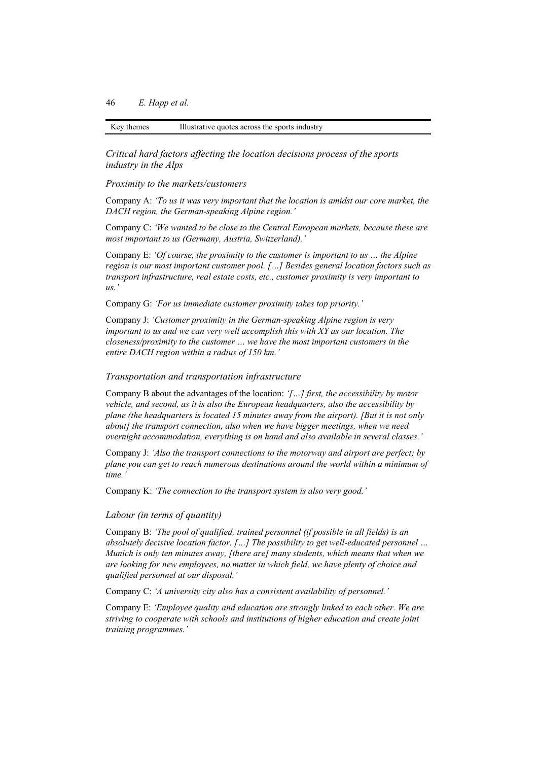Key themes Illustrative quotes across the sports industry

*Critical hard factors affecting the location decisions process of the sports industry in the Alps* 

### *Proximity to the markets/customers*

Company A: *'To us it was very important that the location is amidst our core market, the DACH region, the German-speaking Alpine region.'*

Company C: *'We wanted to be close to the Central European markets, because these are most important to us (Germany, Austria, Switzerland).'*

Company E: *'Of course, the proximity to the customer is important to us … the Alpine region is our most important customer pool. […] Besides general location factors such as transport infrastructure, real estate costs, etc., customer proximity is very important to us.'*

Company G: *'For us immediate customer proximity takes top priority.'*

Company J: *'Customer proximity in the German-speaking Alpine region is very important to us and we can very well accomplish this with XY as our location. The closeness/proximity to the customer … we have the most important customers in the entire DACH region within a radius of 150 km.'*

### *Transportation and transportation infrastructure*

Company B about the advantages of the location: *'[…] first, the accessibility by motor vehicle, and second, as it is also the European headquarters, also the accessibility by plane (the headquarters is located 15 minutes away from the airport). [But it is not only about] the transport connection, also when we have bigger meetings, when we need overnight accommodation, everything is on hand and also available in several classes.'*

Company J: *'Also the transport connections to the motorway and airport are perfect; by plane you can get to reach numerous destinations around the world within a minimum of time.'*

Company K: *'The connection to the transport system is also very good.'*

### *Labour (in terms of quantity)*

Company B: *'The pool of qualified, trained personnel (if possible in all fields) is an absolutely decisive location factor. […] The possibility to get well-educated personnel … Munich is only ten minutes away, [there are] many students, which means that when we are looking for new employees, no matter in which field, we have plenty of choice and qualified personnel at our disposal.'*

Company C: *'A university city also has a consistent availability of personnel.'*

Company E: *'Employee quality and education are strongly linked to each other. We are striving to cooperate with schools and institutions of higher education and create joint training programmes.'*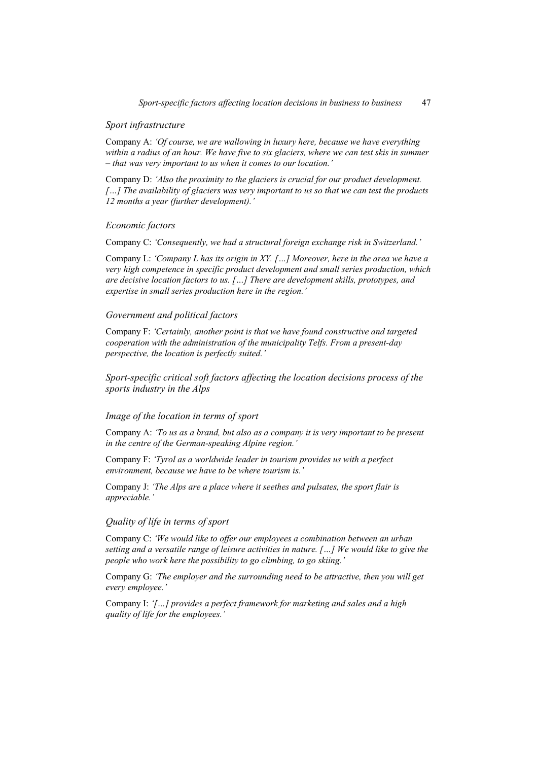### *Sport infrastructure*

Company A: *'Of course, we are wallowing in luxury here, because we have everything within a radius of an hour. We have five to six glaciers, where we can test skis in summer – that was very important to us when it comes to our location.'*

Company D: *'Also the proximity to the glaciers is crucial for our product development. […] The availability of glaciers was very important to us so that we can test the products 12 months a year (further development).'*

## *Economic factors*

Company C: *'Consequently, we had a structural foreign exchange risk in Switzerland.'*

Company L: *'Company L has its origin in XY. […] Moreover, here in the area we have a very high competence in specific product development and small series production, which are decisive location factors to us. […] There are development skills, prototypes, and expertise in small series production here in the region.'*

## *Government and political factors*

Company F: *'Certainly, another point is that we have found constructive and targeted cooperation with the administration of the municipality Telfs. From a present-day perspective, the location is perfectly suited.'*

*Sport-specific critical soft factors affecting the location decisions process of the sports industry in the Alps* 

### *Image of the location in terms of sport*

Company A: *'To us as a brand, but also as a company it is very important to be present in the centre of the German-speaking Alpine region.'*

Company F: *'Tyrol as a worldwide leader in tourism provides us with a perfect environment, because we have to be where tourism is.'*

Company J: *'The Alps are a place where it seethes and pulsates, the sport flair is appreciable.'*

### *Quality of life in terms of sport*

Company C: *'We would like to offer our employees a combination between an urban setting and a versatile range of leisure activities in nature. […] We would like to give the people who work here the possibility to go climbing, to go skiing.'*

Company G: *'The employer and the surrounding need to be attractive, then you will get every employee.'*

Company I: *'[…] provides a perfect framework for marketing and sales and a high quality of life for the employees.'*